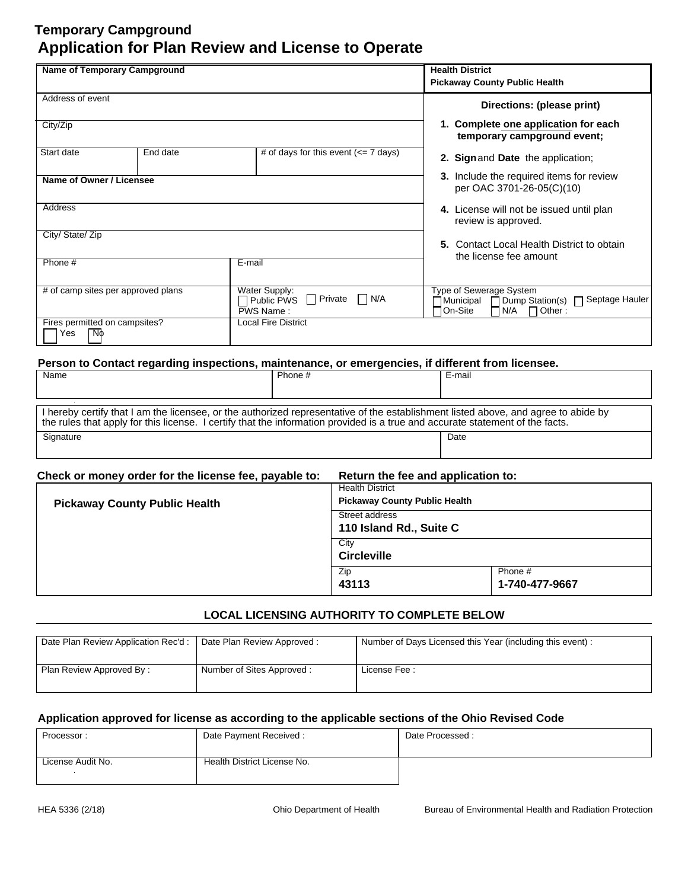| Name of Temporary Campground               |          |                                                                                                   | <b>Health District</b><br><b>Pickaway County Public Health</b>                                                                     |
|--------------------------------------------|----------|---------------------------------------------------------------------------------------------------|------------------------------------------------------------------------------------------------------------------------------------|
| Address of event                           |          |                                                                                                   | Directions: (please print)                                                                                                         |
| City/Zip                                   |          |                                                                                                   | 1. Complete one application for each<br>temporary campground event;                                                                |
| Start date                                 | End date | # of days for this event $\left(\leq 7 \text{ days}\right)$                                       | 2. Sign and Date the application;                                                                                                  |
| Name of Owner / Licensee                   |          |                                                                                                   | 3. Include the required items for review<br>per OAC 3701-26-05(C)(10)                                                              |
| Address                                    |          |                                                                                                   | 4. License will not be issued until plan<br>review is approved.                                                                    |
| City/ State/ Zip                           |          |                                                                                                   | 5. Contact Local Health District to obtain<br>the license fee amount                                                               |
| Phone #                                    |          | E-mail                                                                                            |                                                                                                                                    |
| # of camp sites per approved plans         |          | Water Supply:<br>$\Box$ N/A<br>П<br>Private<br>Public PWS<br>PWS Name:                            | <b>Type of Sewerage System</b><br>Septage Hauler<br>$\Box$ Dump Station(s) $\Box$<br>Municipal<br>On-Site<br>N/A<br>$\Box$ Other : |
| Fires permitted on campsites?<br>NФ<br>Yes |          | Local Fire District                                                                               |                                                                                                                                    |
|                                            |          | Person to Contact regarding inspections, maintenance, or emergencies, if different from licensee. |                                                                                                                                    |

| Name                                                                                                                                                                                                                                                                | Phone # | E-mail |
|---------------------------------------------------------------------------------------------------------------------------------------------------------------------------------------------------------------------------------------------------------------------|---------|--------|
|                                                                                                                                                                                                                                                                     |         |        |
| I hereby certify that I am the licensee, or the authorized representative of the establishment listed above, and agree to abide by<br>the rules that apply for this license. I certify that the information provided is a true and accurate statement of the facts. |         |        |
| Signature                                                                                                                                                                                                                                                           |         | Date   |

|  | Check or money order for the license fee, payable to: |  | Return the fee and application to: |
|--|-------------------------------------------------------|--|------------------------------------|
|--|-------------------------------------------------------|--|------------------------------------|

|                                      | Zip<br>43113                                                   | Phone #<br>1-740-477-9667 |
|--------------------------------------|----------------------------------------------------------------|---------------------------|
|                                      | City<br><b>Circleville</b>                                     |                           |
|                                      | Street address<br>110 Island Rd., Suite C                      |                           |
| <b>Pickaway County Public Health</b> | <b>Health District</b><br><b>Pickaway County Public Health</b> |                           |

## **LOCAL LICENSING AUTHORITY TO COMPLETE BELOW**

| Date Plan Review Application Rec'd: | Date Plan Review Approved: | Number of Days Licensed this Year (including this event): |
|-------------------------------------|----------------------------|-----------------------------------------------------------|
| Plan Review Approved By:            | Number of Sites Approved:  | License Fee:                                              |

| Processor:        | Date Payment Received:      | Date Processed: |
|-------------------|-----------------------------|-----------------|
|                   |                             |                 |
| License Audit No. | Health District License No. |                 |
|                   |                             |                 |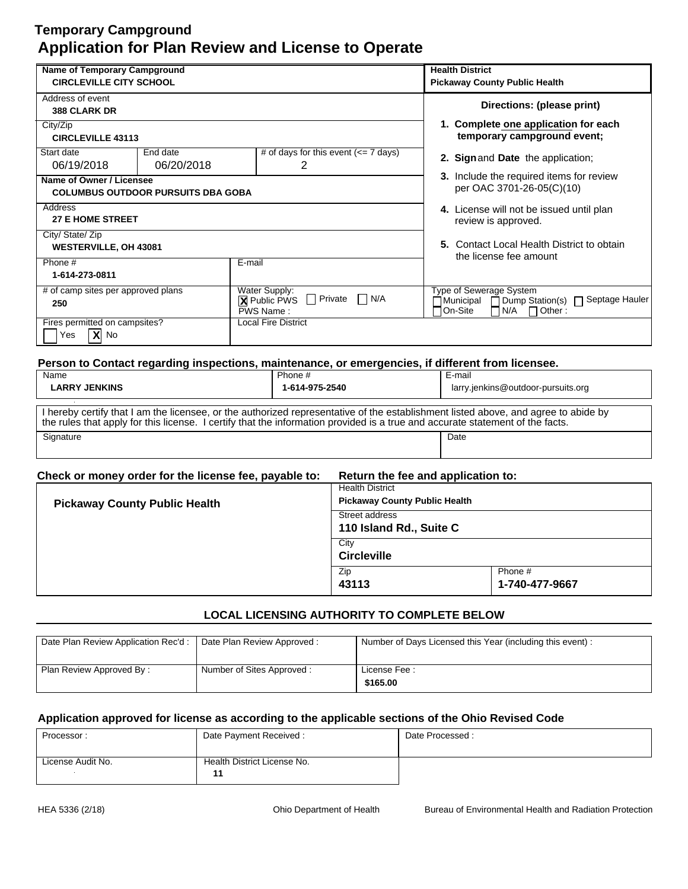| <b>Name of Temporary Campground</b> |                                           |                                                                  | <b>Health District</b>                                                                            |
|-------------------------------------|-------------------------------------------|------------------------------------------------------------------|---------------------------------------------------------------------------------------------------|
| <b>CIRCLEVILLE CITY SCHOOL</b>      |                                           |                                                                  | <b>Pickaway County Public Health</b>                                                              |
| Address of event                    |                                           |                                                                  | Directions: (please print)                                                                        |
| <b>388 CLARK DR</b>                 |                                           |                                                                  |                                                                                                   |
| City/Zip                            |                                           |                                                                  | 1. Complete one application for each                                                              |
| <b>CIRCLEVILLE 43113</b>            |                                           |                                                                  | temporary campground event;                                                                       |
| Start date<br>06/19/2018            | End date<br>06/20/2018                    | # of days for this event $\left(\leq 7 \text{ days}\right)$<br>2 | 2. Sign and Date the application;                                                                 |
|                                     |                                           |                                                                  | 3. Include the required items for review                                                          |
| Name of Owner / Licensee            |                                           |                                                                  | per OAC 3701-26-05(C)(10)                                                                         |
|                                     | <b>COLUMBUS OUTDOOR PURSUITS DBA GOBA</b> |                                                                  |                                                                                                   |
| Address                             |                                           |                                                                  | 4. License will not be issued until plan                                                          |
| <b>27 E HOME STREET</b>             |                                           |                                                                  | review is approved.                                                                               |
| City/ State/ Zip                    |                                           |                                                                  |                                                                                                   |
| <b>WESTERVILLE, OH 43081</b>        |                                           |                                                                  | 5. Contact Local Health District to obtain                                                        |
| Phone #                             |                                           | E-mail                                                           | the license fee amount                                                                            |
| 1-614-273-0811                      |                                           |                                                                  |                                                                                                   |
| # of camp sites per approved plans  |                                           | Water Supply:                                                    | Type of Sewerage System                                                                           |
| 250                                 |                                           | Private<br>N/A<br>- 1<br><b>X</b> Public PWS<br>PWS Name:        | Dump Station(s) □ Septage Hauler<br>7 Municipal<br>On-Site<br>N/A<br>Other:                       |
| Fires permitted on campsites?       |                                           | <b>Local Fire District</b>                                       |                                                                                                   |
| $X$ No<br>Yes                       |                                           |                                                                  |                                                                                                   |
|                                     |                                           |                                                                  |                                                                                                   |
|                                     |                                           |                                                                  | Person to Contact regarding inspections, maintenance, or emergencies, if different from licensee. |
| Name                                |                                           | Phone #                                                          | E-mail                                                                                            |

| nanie                                                                                                                                                                                                                                                               | <b>FIULE</b> # | -е-шан                             |
|---------------------------------------------------------------------------------------------------------------------------------------------------------------------------------------------------------------------------------------------------------------------|----------------|------------------------------------|
| <b>LARRY JENKINS</b>                                                                                                                                                                                                                                                | 1-614-975-2540 | larry.jenkins@outdoor-pursuits.org |
|                                                                                                                                                                                                                                                                     |                |                                    |
| I hereby certify that I am the licensee, or the authorized representative of the establishment listed above, and agree to abide by<br>the rules that apply for this license. I certify that the information provided is a true and accurate statement of the facts. |                |                                    |
| Signature                                                                                                                                                                                                                                                           |                | Date                               |
|                                                                                                                                                                                                                                                                     |                |                                    |

|--|

| <b>Pickaway County Public Health</b> | <b>Health District</b><br><b>Pickaway County Public Health</b><br>Street address |                           |
|--------------------------------------|----------------------------------------------------------------------------------|---------------------------|
|                                      | 110 Island Rd., Suite C                                                          |                           |
|                                      | City<br><b>Circleville</b>                                                       |                           |
|                                      | Zip<br>43113                                                                     | Phone #<br>1-740-477-9667 |

## **LOCAL LICENSING AUTHORITY TO COMPLETE BELOW**

| Date Plan Review Application Rec'd :   Date Plan Review Approved : |                           | Number of Days Licensed this Year (including this event): |
|--------------------------------------------------------------------|---------------------------|-----------------------------------------------------------|
| Plan Review Approved By:                                           | Number of Sites Approved: | License Fee:<br>\$165.00                                  |

| Date Payment Received:      | Date Processed: |
|-----------------------------|-----------------|
|                             |                 |
| Health District License No. |                 |
|                             |                 |
|                             |                 |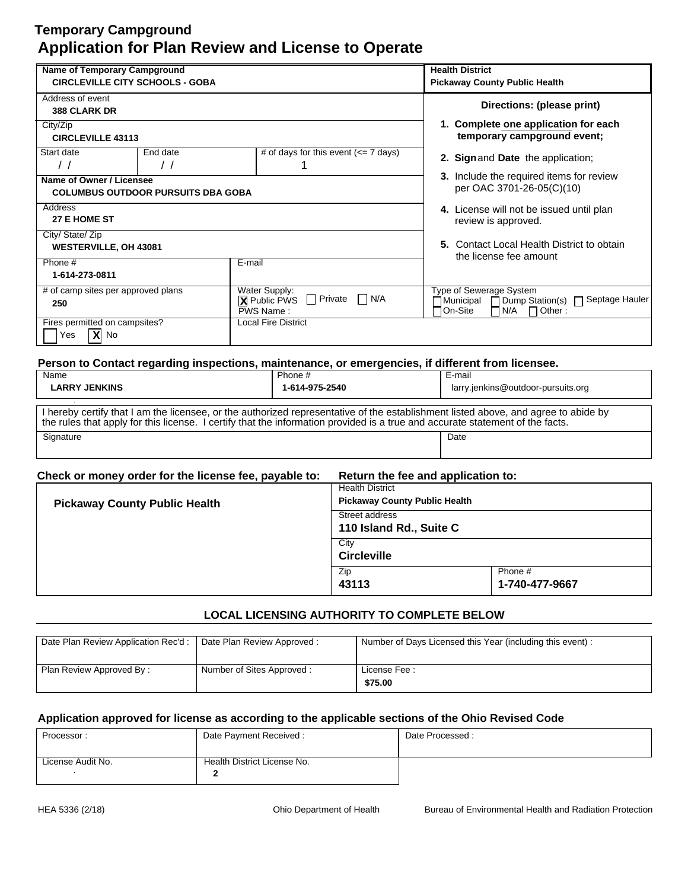| Name of Temporary Campground           |                                           |                                                             | <b>Health District</b>                                                                            |
|----------------------------------------|-------------------------------------------|-------------------------------------------------------------|---------------------------------------------------------------------------------------------------|
| <b>CIRCLEVILLE CITY SCHOOLS - GOBA</b> |                                           | <b>Pickaway County Public Health</b>                        |                                                                                                   |
| Address of event                       |                                           |                                                             | Directions: (please print)                                                                        |
| <b>388 CLARK DR</b>                    |                                           |                                                             |                                                                                                   |
| City/Zip                               |                                           |                                                             | 1. Complete one application for each                                                              |
| <b>CIRCLEVILLE 43113</b>               |                                           |                                                             | temporary campground event;                                                                       |
| Start date                             | End date                                  | # of days for this event $\left(\leq 7 \text{ days}\right)$ | 2. Sign and Date the application;                                                                 |
| $\frac{1}{2}$                          | $\prime$ /                                |                                                             |                                                                                                   |
| Name of Owner / Licensee               |                                           |                                                             | <b>3.</b> Include the required items for review                                                   |
|                                        | <b>COLUMBUS OUTDOOR PURSUITS DBA GOBA</b> |                                                             | per OAC 3701-26-05(C)(10)                                                                         |
| Address                                |                                           |                                                             | 4. License will not be issued until plan                                                          |
| 27 E HOME ST                           |                                           |                                                             | review is approved.                                                                               |
| City/ State/ Zip                       |                                           |                                                             |                                                                                                   |
| <b>WESTERVILLE, OH 43081</b>           |                                           |                                                             | 5. Contact Local Health District to obtain<br>the license fee amount                              |
| Phone #                                |                                           | E-mail                                                      |                                                                                                   |
| 1-614-273-0811                         |                                           |                                                             |                                                                                                   |
| # of camp sites per approved plans     |                                           | Water Supply:                                               | Type of Sewerage System                                                                           |
| 250                                    |                                           | N/A<br>$\Box$<br>Private<br>П<br><b>X</b> Public PWS        | Dump Station(s) □ Septage Hauler<br>Municipal                                                     |
|                                        |                                           | PWS Name:                                                   | On-Site<br>N/A<br>$\Box$ Other:                                                                   |
| Fires permitted on campsites?          |                                           | <b>Local Fire District</b>                                  |                                                                                                   |
| $ X $ No<br>Yes                        |                                           |                                                             |                                                                                                   |
|                                        |                                           |                                                             |                                                                                                   |
|                                        |                                           |                                                             | Person to Contact regarding inspections, maintenance, or emergencies, if different from licensee. |
| Name                                   |                                           | Phone #                                                     | E-mail                                                                                            |
| <b>LARRY JENKINS</b>                   |                                           | 1-614-975-2540                                              | larry.jenkins@outdoor-pursuits.org                                                                |

| I hereby certify that I am the licensee, or the authorized representative of the establishment listed above, and agree to abide by<br>the rules that apply for this license. I certify that the information provided is a true and accurate statement of the facts. |  |      |  |
|---------------------------------------------------------------------------------------------------------------------------------------------------------------------------------------------------------------------------------------------------------------------|--|------|--|
| Signature                                                                                                                                                                                                                                                           |  | Date |  |

| Check or money order for the license fee, payable to: | Return the fee and application to: |
|-------------------------------------------------------|------------------------------------|
|-------------------------------------------------------|------------------------------------|

| <b>Pickaway County Public Health</b> | <b>Health District</b><br><b>Pickaway County Public Health</b> |                           |  |
|--------------------------------------|----------------------------------------------------------------|---------------------------|--|
|                                      | Street address<br>110 Island Rd., Suite C                      |                           |  |
|                                      | City<br><b>Circleville</b>                                     |                           |  |
|                                      | Zip<br>43113                                                   | Phone #<br>1-740-477-9667 |  |

## **LOCAL LICENSING AUTHORITY TO COMPLETE BELOW**

| Date Plan Review Application Rec'd :   Date Plan Review Approved : |                           | Number of Days Licensed this Year (including this event): |
|--------------------------------------------------------------------|---------------------------|-----------------------------------------------------------|
| Plan Review Approved By:                                           | Number of Sites Approved: | License Fee:<br>\$75.00                                   |

| Date Payment Received:<br>Processor: |                             | Date Processed: |
|--------------------------------------|-----------------------------|-----------------|
|                                      |                             |                 |
| License Audit No.                    | Health District License No. |                 |
|                                      |                             |                 |
|                                      |                             |                 |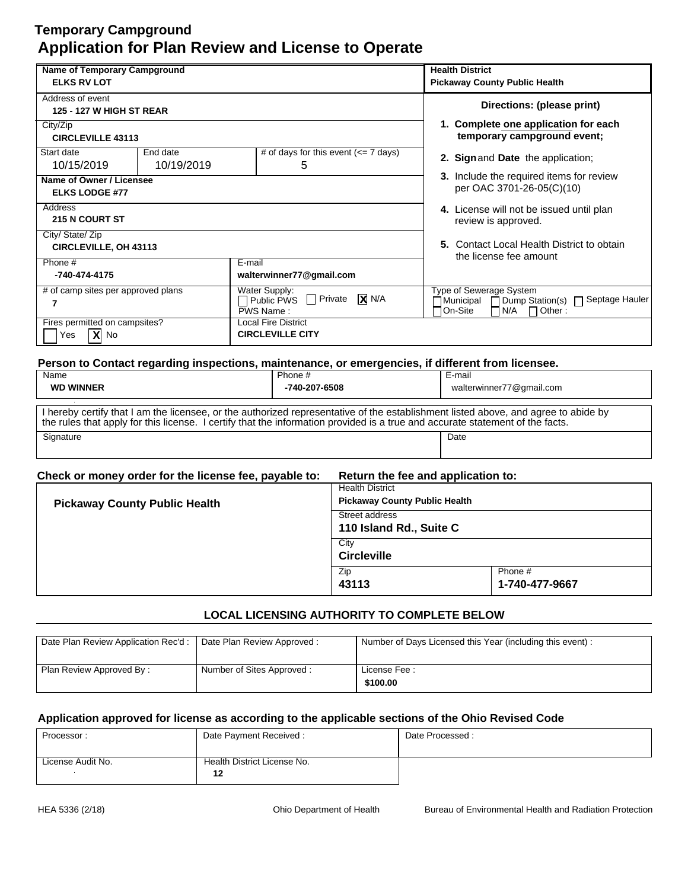| <b>Name of Temporary Campground</b> |            |                                                                                                   | <b>Health District</b>                                                            |  |  |  |
|-------------------------------------|------------|---------------------------------------------------------------------------------------------------|-----------------------------------------------------------------------------------|--|--|--|
| <b>ELKS RV LOT</b>                  |            |                                                                                                   | <b>Pickaway County Public Health</b>                                              |  |  |  |
| Address of event                    |            |                                                                                                   | Directions: (please print)                                                        |  |  |  |
| <b>125 - 127 W HIGH ST REAR</b>     |            |                                                                                                   |                                                                                   |  |  |  |
| City/Zip                            |            |                                                                                                   | 1. Complete one application for each                                              |  |  |  |
| <b>CIRCLEVILLE 43113</b>            |            |                                                                                                   | temporary campground event;                                                       |  |  |  |
| Start date                          | End date   | # of days for this event $\left(\leq 7 \text{ days}\right)$                                       | 2. Sign and Date the application;                                                 |  |  |  |
| 10/15/2019                          | 10/19/2019 | 5                                                                                                 |                                                                                   |  |  |  |
| Name of Owner / Licensee            |            |                                                                                                   | 3. Include the required items for review                                          |  |  |  |
| <b>ELKS LODGE #77</b>               |            |                                                                                                   | per OAC 3701-26-05(C)(10)                                                         |  |  |  |
| Address                             |            |                                                                                                   | 4. License will not be issued until plan                                          |  |  |  |
| <b>215 N COURT ST</b>               |            | review is approved.                                                                               |                                                                                   |  |  |  |
| City/ State/ Zip                    |            |                                                                                                   |                                                                                   |  |  |  |
| <b>CIRCLEVILLE, OH 43113</b>        |            |                                                                                                   | 5. Contact Local Health District to obtain                                        |  |  |  |
| Phone #                             |            | E-mail                                                                                            | the license fee amount                                                            |  |  |  |
| -740-474-4175                       |            | walterwinner77@gmail.com                                                                          |                                                                                   |  |  |  |
| # of camp sites per approved plans  |            | Water Supply:                                                                                     | Type of Sewerage System                                                           |  |  |  |
| 7                                   |            | $\sqrt{X}$ N/A<br>$\Box$ Private<br>$\sqcap$ Public PWS<br>PWS Name:                              | Dump Station(s) □ Septage Hauler<br>∏Municipal<br>On-Site<br>N/A<br>$\Box$ Other: |  |  |  |
| Fires permitted on campsites?       |            | <b>Local Fire District</b>                                                                        |                                                                                   |  |  |  |
| $X$ No<br>Yes                       |            | <b>CIRCLEVILLE CITY</b>                                                                           |                                                                                   |  |  |  |
|                                     |            |                                                                                                   |                                                                                   |  |  |  |
|                                     |            | Person to Contact regarding inspections, maintenance, or emergencies, if different from licensee, |                                                                                   |  |  |  |
|                                     |            |                                                                                                   |                                                                                   |  |  |  |

| Name                                                                                                                                                                                                                                                                | Phone # | E-mail                   |
|---------------------------------------------------------------------------------------------------------------------------------------------------------------------------------------------------------------------------------------------------------------------|---------|--------------------------|
| <b>WD WINNER</b><br>-740-207-6508                                                                                                                                                                                                                                   |         | walterwinner77@gmail.com |
|                                                                                                                                                                                                                                                                     |         |                          |
| I hereby certify that I am the licensee, or the authorized representative of the establishment listed above, and agree to abide by<br>the rules that apply for this license. I certify that the information provided is a true and accurate statement of the facts. |         |                          |
| Signature                                                                                                                                                                                                                                                           |         | Date                     |
|                                                                                                                                                                                                                                                                     |         |                          |
|                                                                                                                                                                                                                                                                     |         |                          |

| Check or money order for the license fee, payable to: | Return the fee and application to:                             |                           |  |  |
|-------------------------------------------------------|----------------------------------------------------------------|---------------------------|--|--|
|                                                       | <b>Health District</b><br><b>Pickaway County Public Health</b> |                           |  |  |
| <b>Pickaway County Public Health</b>                  | Street address<br>110 Island Rd., Suite C                      |                           |  |  |
|                                                       | City<br><b>Circleville</b>                                     |                           |  |  |
|                                                       | Zip<br>43113                                                   | Phone #<br>1-740-477-9667 |  |  |

## **LOCAL LICENSING AUTHORITY TO COMPLETE BELOW**

| Date Plan Review Application Rec'd :   Date Plan Review Approved : |                           | Number of Days Licensed this Year (including this event): |
|--------------------------------------------------------------------|---------------------------|-----------------------------------------------------------|
| Plan Review Approved By:                                           | Number of Sites Approved: | License Fee:<br>\$100.00                                  |

| Date Payment Received:<br>Processor: |                             | Date Processed: |
|--------------------------------------|-----------------------------|-----------------|
|                                      |                             |                 |
| License Audit No.                    | Health District License No. |                 |
|                                      | 12                          |                 |
|                                      |                             |                 |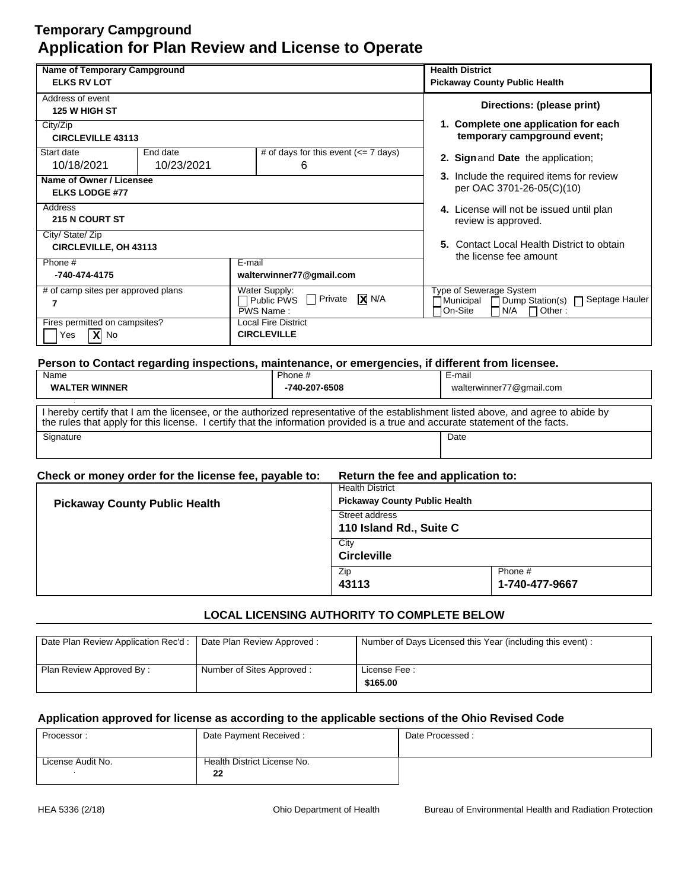| <b>Name of Temporary Campground</b>                                               |            |               |                                                                                                   | <b>Health District</b>               |                         |                                          |                                            |
|-----------------------------------------------------------------------------------|------------|---------------|---------------------------------------------------------------------------------------------------|--------------------------------------|-------------------------|------------------------------------------|--------------------------------------------|
| <b>ELKS RV LOT</b>                                                                |            |               |                                                                                                   | <b>Pickaway County Public Health</b> |                         |                                          |                                            |
| Address of event                                                                  |            |               |                                                                                                   |                                      |                         | Directions: (please print)               |                                            |
| 125 W HIGH ST                                                                     |            |               |                                                                                                   |                                      |                         |                                          |                                            |
| City/Zip                                                                          |            |               |                                                                                                   |                                      |                         | 1. Complete one application for each     |                                            |
| <b>CIRCLEVILLE 43113</b>                                                          |            |               |                                                                                                   |                                      |                         | temporary campground event;              |                                            |
| Start date                                                                        | End date   |               | # of days for this event $\left(\leq 7 \text{ days}\right)$                                       |                                      |                         | 2. Sign and Date the application;        |                                            |
| 10/18/2021                                                                        | 10/23/2021 |               | 6                                                                                                 |                                      |                         |                                          |                                            |
| Name of Owner / Licensee                                                          |            |               |                                                                                                   |                                      |                         | 3. Include the required items for review |                                            |
| <b>ELKS LODGE #77</b>                                                             |            |               |                                                                                                   |                                      |                         | per OAC 3701-26-05(C)(10)                |                                            |
| Address                                                                           |            |               | 4. License will not be issued until plan                                                          |                                      |                         |                                          |                                            |
| <b>215 N COURT ST</b>                                                             |            |               |                                                                                                   |                                      | review is approved.     |                                          |                                            |
| City/ State/ Zip                                                                  |            |               |                                                                                                   |                                      |                         |                                          |                                            |
| <b>CIRCLEVILLE, OH 43113</b>                                                      |            |               |                                                                                                   |                                      |                         |                                          | 5. Contact Local Health District to obtain |
| Phone #                                                                           |            | E-mail        |                                                                                                   |                                      |                         | the license fee amount                   |                                            |
| -740-474-4175                                                                     |            |               | walterwinner77@gmail.com                                                                          |                                      |                         |                                          |                                            |
| # of camp sites per approved plans                                                |            | Water Supply: |                                                                                                   |                                      | Type of Sewerage System |                                          |                                            |
| 7                                                                                 |            | Public PWS    | $\sqrt{X}$ N/A<br><b>Private</b>                                                                  | ⊣Municipal                           |                         |                                          | Dump Station(s) □ Septage Hauler           |
|                                                                                   |            | PWS Name:     |                                                                                                   | On-Site                              | N/A                     | $\Box$ Other:                            |                                            |
| Fires permitted on campsites?<br><b>Local Fire District</b><br><b>CIRCLEVILLE</b> |            |               |                                                                                                   |                                      |                         |                                          |                                            |
| $X$ No<br>Yes                                                                     |            |               |                                                                                                   |                                      |                         |                                          |                                            |
|                                                                                   |            |               |                                                                                                   |                                      |                         |                                          |                                            |
|                                                                                   |            |               | Person to Contact regarding inspections, maintenance, or emergencies, if different from licensee. |                                      |                         |                                          |                                            |
| Name                                                                              |            |               | Phone #                                                                                           | E-mail                               |                         |                                          |                                            |
| <b>WALTER WINNER</b><br>-740-207-6508                                             |            |               |                                                                                                   | walterwinner77@gmail.com             |                         |                                          |                                            |

| I hereby certify that I am the licensee, or the authorized representative of the establishment listed above, and agree to abide by |  |  |  |
|------------------------------------------------------------------------------------------------------------------------------------|--|--|--|
| the rules that apply for this license. I certify that the information provided is a true and accurate statement of the facts.      |  |  |  |
| Signature<br>Date                                                                                                                  |  |  |  |
|                                                                                                                                    |  |  |  |

|  | Check or money order for the license fee, payable to: | Return the fee and application to: |
|--|-------------------------------------------------------|------------------------------------|
|--|-------------------------------------------------------|------------------------------------|

| <b>Pickaway County Public Health</b> | <b>Health District</b><br><b>Pickaway County Public Health</b> |                           |
|--------------------------------------|----------------------------------------------------------------|---------------------------|
|                                      | Street address<br>110 Island Rd., Suite C                      |                           |
|                                      | City<br><b>Circleville</b>                                     |                           |
|                                      | Zip<br>43113                                                   | Phone #<br>1-740-477-9667 |

## **LOCAL LICENSING AUTHORITY TO COMPLETE BELOW**

| Date Plan Review Application Rec'd :   Date Plan Review Approved : |                           | Number of Days Licensed this Year (including this event): |
|--------------------------------------------------------------------|---------------------------|-----------------------------------------------------------|
| Plan Review Approved By:                                           | Number of Sites Approved: | License Fee:<br>\$165.00                                  |

| Processor:        | Date Payment Received:      | Date Processed: |
|-------------------|-----------------------------|-----------------|
|                   |                             |                 |
| License Audit No. | Health District License No. |                 |
|                   | 22                          |                 |
|                   |                             |                 |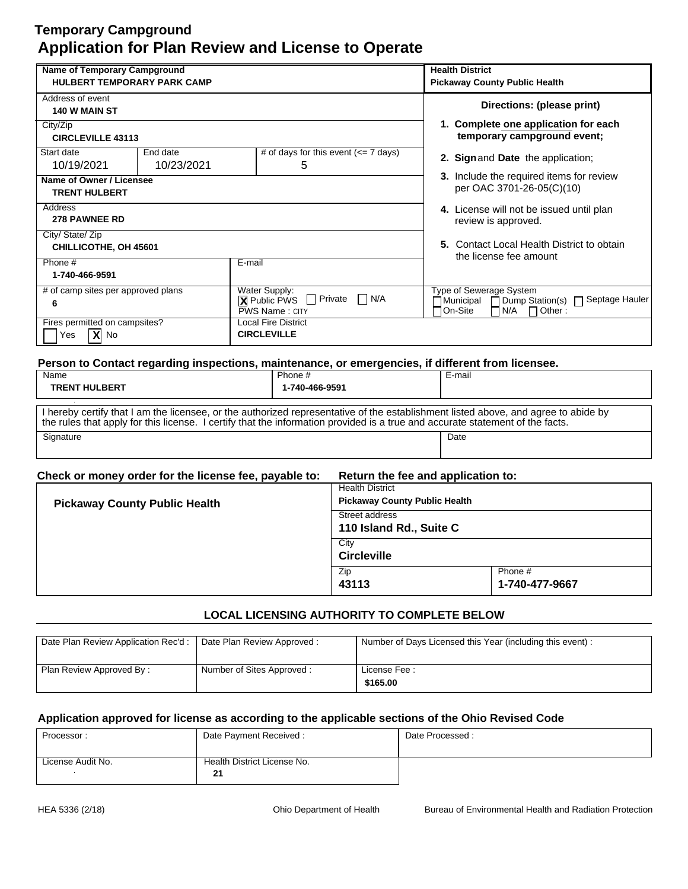| Name of Temporary Campground                                                         |            |                                                                                                   | <b>Health District</b>                     |
|--------------------------------------------------------------------------------------|------------|---------------------------------------------------------------------------------------------------|--------------------------------------------|
| <b>HULBERT TEMPORARY PARK CAMP</b>                                                   |            | <b>Pickaway County Public Health</b>                                                              |                                            |
| Address of event                                                                     |            |                                                                                                   | Directions: (please print)                 |
| <b>140 W MAIN ST</b>                                                                 |            |                                                                                                   |                                            |
| City/Zip                                                                             |            |                                                                                                   | 1. Complete one application for each       |
| <b>CIRCLEVILLE 43113</b>                                                             |            |                                                                                                   | temporary campground event;                |
| Start date                                                                           | End date   | # of days for this event $\left(\leq 7 \text{ days}\right)$                                       | 2. Sign and Date the application;          |
| 10/19/2021                                                                           | 10/23/2021 | 5                                                                                                 |                                            |
| Name of Owner / Licensee                                                             |            |                                                                                                   | 3. Include the required items for review   |
| <b>TRENT HULBERT</b>                                                                 |            |                                                                                                   | per OAC 3701-26-05(C)(10)                  |
| Address                                                                              |            |                                                                                                   | 4. License will not be issued until plan   |
| <b>278 PAWNEE RD</b>                                                                 |            |                                                                                                   | review is approved.                        |
| City/ State/ Zip                                                                     |            |                                                                                                   |                                            |
| CHILLICOTHE, OH 45601                                                                |            |                                                                                                   | 5. Contact Local Health District to obtain |
| Phone #                                                                              |            | E-mail                                                                                            | the license fee amount                     |
| 1-740-466-9591                                                                       |            |                                                                                                   |                                            |
| # of camp sites per approved plans                                                   |            | Water Supply:                                                                                     | Type of Sewerage System                    |
| 6                                                                                    |            | $\Box$ N/A<br>$\sqrt{2}$ Public PWS $\Box$ Private                                                | ∃Municipal                                 |
| <b>PWS Name: CITY</b><br>Fires permitted on campsites?<br><b>Local Fire District</b> |            | On-Site<br>N/A<br>$\Box$ Other:                                                                   |                                            |
| $\mathbf{X}$ No<br><b>CIRCLEVILLE</b><br>Yes                                         |            |                                                                                                   |                                            |
|                                                                                      |            |                                                                                                   |                                            |
|                                                                                      |            |                                                                                                   |                                            |
|                                                                                      |            | Person to Contact regarding inspections, maintenance, or emergencies, if different from licensee. |                                            |

| <u>. ereon iv evinuoi regurung mepeenenej municeliumej er emergenees, n umierem men meenees.</u><br>Name                                                                                                                                                            | Phone #        | E-mail |
|---------------------------------------------------------------------------------------------------------------------------------------------------------------------------------------------------------------------------------------------------------------------|----------------|--------|
| <b>TRENT HULBERT</b>                                                                                                                                                                                                                                                | 1-740-466-9591 |        |
| I hereby certify that I am the licensee, or the authorized representative of the establishment listed above, and agree to abide by<br>the rules that apply for this license. I certify that the information provided is a true and accurate statement of the facts. |                |        |
| Signature                                                                                                                                                                                                                                                           |                | Date   |

| Check or money order for the license fee, payable to: Return the fee and application to: |  |
|------------------------------------------------------------------------------------------|--|
|                                                                                          |  |

| <b>Pickaway County Public Health</b> | <b>Health District</b><br><b>Pickaway County Public Health</b> |                           |
|--------------------------------------|----------------------------------------------------------------|---------------------------|
|                                      | Street address<br>110 Island Rd., Suite C                      |                           |
|                                      | City<br><b>Circleville</b>                                     |                           |
|                                      | Zip<br>43113                                                   | Phone #<br>1-740-477-9667 |

## **LOCAL LICENSING AUTHORITY TO COMPLETE BELOW**

| Date Plan Review Application Rec'd :   Date Plan Review Approved : |                           | Number of Days Licensed this Year (including this event): |
|--------------------------------------------------------------------|---------------------------|-----------------------------------------------------------|
| Plan Review Approved By:                                           | Number of Sites Approved: | License Fee:<br>\$165.00                                  |

| Processor:        | Date Payment Received:      | Date Processed: |
|-------------------|-----------------------------|-----------------|
|                   |                             |                 |
| License Audit No. | Health District License No. |                 |
|                   | 21                          |                 |
|                   |                             |                 |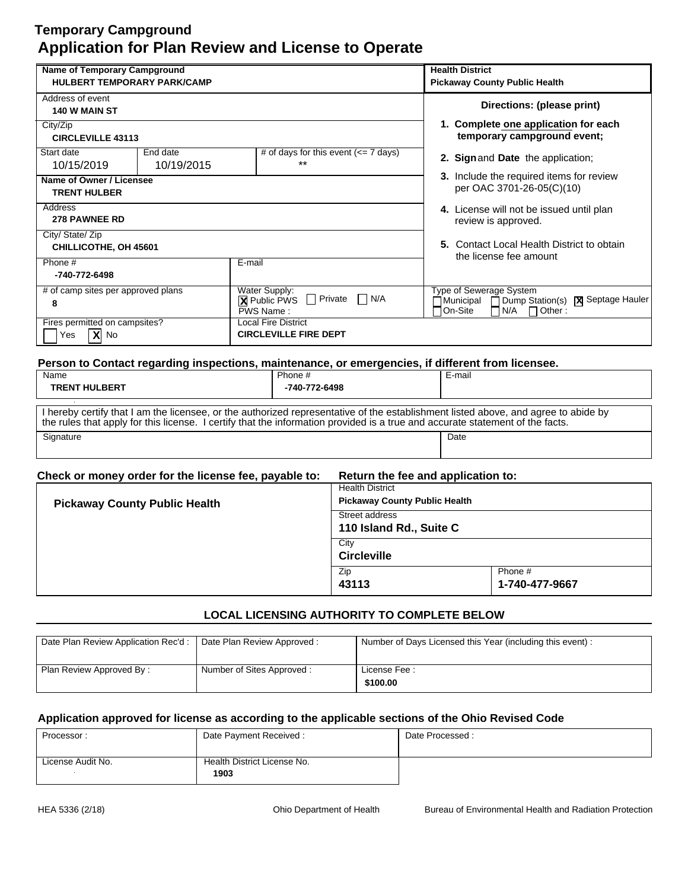| <b>Name of Temporary Campground</b> |            |                                                                                                   | <b>Health District</b>                           |
|-------------------------------------|------------|---------------------------------------------------------------------------------------------------|--------------------------------------------------|
| <b>HULBERT TEMPORARY PARK/CAMP</b>  |            | <b>Pickaway County Public Health</b>                                                              |                                                  |
| Address of event                    |            |                                                                                                   | Directions: (please print)                       |
| <b>140 W MAIN ST</b>                |            |                                                                                                   |                                                  |
| City/Zip                            |            |                                                                                                   | 1. Complete one application for each             |
| <b>CIRCLEVILLE 43113</b>            |            |                                                                                                   | temporary campground event;                      |
| Start date                          | End date   | # of days for this event $\left(\leq 7 \text{ days}\right)$                                       | 2. Sign and Date the application;                |
| 10/15/2019                          | 10/19/2015 | $***$                                                                                             |                                                  |
| Name of Owner / Licensee            |            |                                                                                                   | 3. Include the required items for review         |
| <b>TRENT HULBER</b>                 |            |                                                                                                   | per OAC 3701-26-05(C)(10)                        |
| Address                             |            |                                                                                                   | 4. License will not be issued until plan         |
| <b>278 PAWNEE RD</b>                |            |                                                                                                   | review is approved.                              |
| City/ State/ Zip                    |            |                                                                                                   |                                                  |
| CHILLICOTHE, OH 45601               |            |                                                                                                   | 5. Contact Local Health District to obtain       |
| Phone #                             |            | E-mail                                                                                            | the license fee amount                           |
| -740-772-6498                       |            |                                                                                                   |                                                  |
| # of camp sites per approved plans  |            | Water Supply:                                                                                     | Type of Sewerage System                          |
| 8                                   |            | $\Box$ Private<br>N/A<br>$\overline{\phantom{a}}$<br><b>X</b> Public PWS                          | Dump Station(s)   X Septage Hauler<br>∏Municipal |
|                                     |            | PWS Name:<br><b>Local Fire District</b>                                                           | On-Site<br>N/A<br>Other:<br>$\Box$               |
| Fires permitted on campsites?       |            | <b>CIRCLEVILLE FIRE DEPT</b>                                                                      |                                                  |
| $X$ No<br>Yes                       |            |                                                                                                   |                                                  |
|                                     |            |                                                                                                   |                                                  |
|                                     |            | Person to Contact regarding inspections, maintenance, or emergencies, if different from licensee. |                                                  |

| Name                                                                                                                                                                                                                                                                | Phone #       | E-mail |
|---------------------------------------------------------------------------------------------------------------------------------------------------------------------------------------------------------------------------------------------------------------------|---------------|--------|
| <b>TRENT HULBERT</b>                                                                                                                                                                                                                                                | -740-772-6498 |        |
| I hereby certify that I am the licensee, or the authorized representative of the establishment listed above, and agree to abide by<br>the rules that apply for this license. I certify that the information provided is a true and accurate statement of the facts. |               |        |
| Signature                                                                                                                                                                                                                                                           |               | Date   |

| Check or money order for the license fee, payable to: Return the fee and application to: |  |
|------------------------------------------------------------------------------------------|--|
|                                                                                          |  |

| <b>Pickaway County Public Health</b> | <b>Health District</b><br><b>Pickaway County Public Health</b> |                           |
|--------------------------------------|----------------------------------------------------------------|---------------------------|
|                                      | Street address<br>110 Island Rd., Suite C                      |                           |
|                                      | City<br><b>Circleville</b>                                     |                           |
|                                      | Zip<br>43113                                                   | Phone #<br>1-740-477-9667 |

## **LOCAL LICENSING AUTHORITY TO COMPLETE BELOW**

| Date Plan Review Application Rec'd :   Date Plan Review Approved : |                           | Number of Days Licensed this Year (including this event): |
|--------------------------------------------------------------------|---------------------------|-----------------------------------------------------------|
| Plan Review Approved By:                                           | Number of Sites Approved: | License Fee:<br>\$100.00                                  |

| Processor:        | Date Payment Received:      | Date Processed: |
|-------------------|-----------------------------|-----------------|
|                   |                             |                 |
| License Audit No. | Health District License No. |                 |
|                   | 1903                        |                 |
|                   |                             |                 |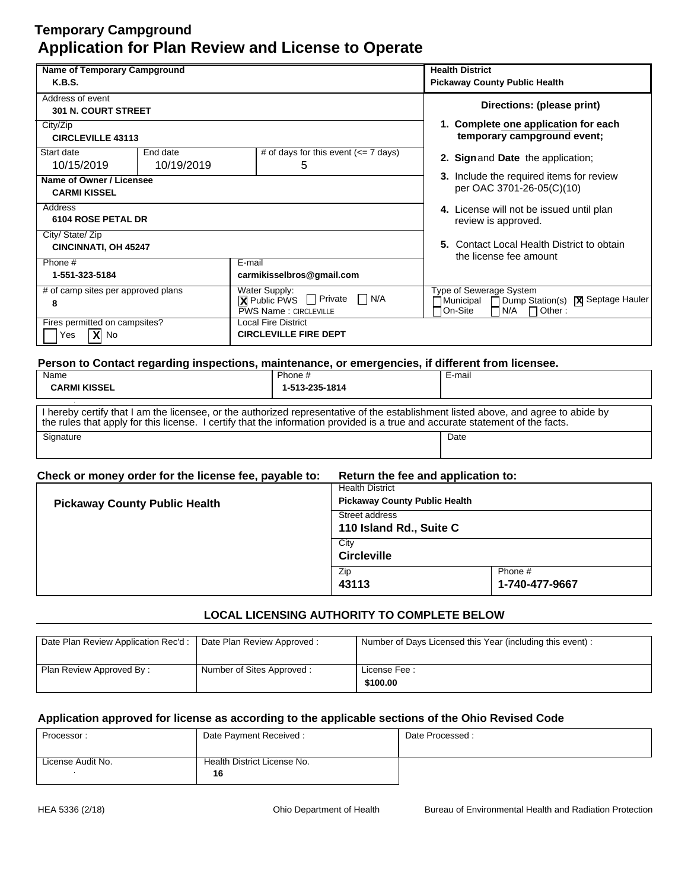| Name of Temporary Campground       |            |                                                                                                   | <b>Health District</b>                          |
|------------------------------------|------------|---------------------------------------------------------------------------------------------------|-------------------------------------------------|
| <b>K.B.S.</b>                      |            |                                                                                                   | <b>Pickaway County Public Health</b>            |
| Address of event                   |            |                                                                                                   | Directions: (please print)                      |
| <b>301 N. COURT STREET</b>         |            |                                                                                                   |                                                 |
| City/Zip                           |            |                                                                                                   | 1. Complete one application for each            |
| <b>CIRCLEVILLE 43113</b>           |            |                                                                                                   | temporary campground event;                     |
| Start date                         | End date   | # of days for this event $\left(\rightleftharpoons$ 7 days)                                       | 2. Sign and Date the application;               |
| 10/15/2019                         | 10/19/2019 | 5                                                                                                 |                                                 |
| Name of Owner / Licensee           |            |                                                                                                   | 3. Include the required items for review        |
| <b>CARMI KISSEL</b>                |            | per OAC 3701-26-05(C)(10)                                                                         |                                                 |
| Address                            |            |                                                                                                   | 4. License will not be issued until plan        |
| <b>6104 ROSE PETAL DR</b>          |            | review is approved.                                                                               |                                                 |
| City/ State/ Zip                   |            |                                                                                                   |                                                 |
| <b>CINCINNATI, OH 45247</b>        |            |                                                                                                   | 5. Contact Local Health District to obtain      |
| Phone #                            |            | E-mail                                                                                            | the license fee amount                          |
| 1-551-323-5184                     |            | carmikisselbros@gmail.com                                                                         |                                                 |
| # of camp sites per approved plans |            | Water Supply:                                                                                     | <b>Type of Sewerage System</b>                  |
| 8                                  |            | ■ Public PWS □ Private<br>$\Box$ N/A                                                              | Dump Station(s)   X Septage Hauler<br>Municipal |
|                                    |            | <b>PWS Name: CIRCLEVILLE</b>                                                                      | On-Site<br>N/A<br>$\Box$ Other :                |
| Fires permitted on campsites?      |            | Local Fire District<br><b>CIRCLEVILLE FIRE DEPT</b>                                               |                                                 |
| $X$ No<br>Yes                      |            |                                                                                                   |                                                 |
|                                    |            |                                                                                                   |                                                 |
|                                    |            | Person to Contact regarding inspections, maintenance, or emergencies, if different from licensee. |                                                 |

| Name<br><b>CARMI KISSEL</b>                                                                                                                                                                                                                                         | Phone #<br>1-513-235-1814 | E-mail |
|---------------------------------------------------------------------------------------------------------------------------------------------------------------------------------------------------------------------------------------------------------------------|---------------------------|--------|
| I hereby certify that I am the licensee, or the authorized representative of the establishment listed above, and agree to abide by<br>the rules that apply for this license. I certify that the information provided is a true and accurate statement of the facts. |                           |        |
| Signature                                                                                                                                                                                                                                                           |                           | Date   |

| Check or money order for the license fee, payable to: | Return the fee and application to: |
|-------------------------------------------------------|------------------------------------|
|                                                       |                                    |

| <b>Pickaway County Public Health</b> | <b>Health District</b><br><b>Pickaway County Public Health</b> |                           |
|--------------------------------------|----------------------------------------------------------------|---------------------------|
|                                      | Street address<br>110 Island Rd., Suite C                      |                           |
|                                      | City<br><b>Circleville</b>                                     |                           |
|                                      | Zip<br>43113                                                   | Phone #<br>1-740-477-9667 |

## **LOCAL LICENSING AUTHORITY TO COMPLETE BELOW**

| Date Plan Review Application Rec'd :   Date Plan Review Approved : |                           | Number of Days Licensed this Year (including this event): |
|--------------------------------------------------------------------|---------------------------|-----------------------------------------------------------|
| Plan Review Approved By:                                           | Number of Sites Approved: | License Fee:<br>\$100.00                                  |

| Processor:        | Date Payment Received:      | Date Processed: |
|-------------------|-----------------------------|-----------------|
|                   |                             |                 |
| License Audit No. | Health District License No. |                 |
|                   | 16                          |                 |
|                   |                             |                 |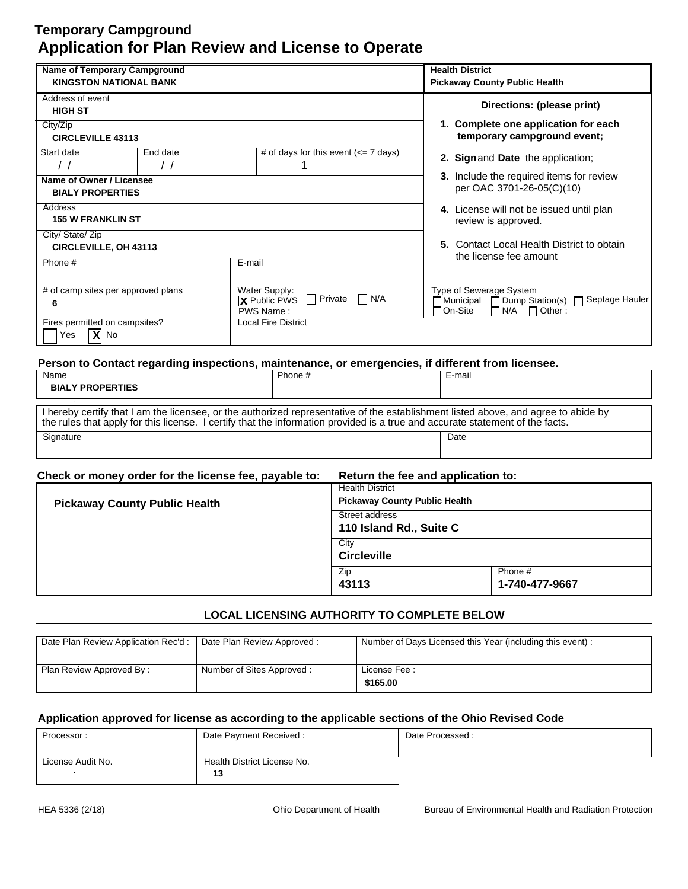| <b>Name of Temporary Campground</b>                                            |                        | <b>Health District</b>                                                            |                                                                                                   |
|--------------------------------------------------------------------------------|------------------------|-----------------------------------------------------------------------------------|---------------------------------------------------------------------------------------------------|
| <b>KINGSTON NATIONAL BANK</b>                                                  |                        | <b>Pickaway County Public Health</b>                                              |                                                                                                   |
| Address of event                                                               |                        |                                                                                   | Directions: (please print)                                                                        |
| <b>HIGH ST</b>                                                                 |                        |                                                                                   |                                                                                                   |
| City/Zip                                                                       |                        |                                                                                   | 1. Complete one application for each                                                              |
| <b>CIRCLEVILLE 43113</b>                                                       |                        |                                                                                   | temporary campground event;                                                                       |
| Start date<br>$\prime$ /                                                       | End date<br>$\prime$ / | # of days for this event $\left(\leq 7 \text{ days}\right)$                       | 2. Sign and Date the application;                                                                 |
|                                                                                |                        |                                                                                   | 3. Include the required items for review                                                          |
| Name of Owner / Licensee                                                       |                        |                                                                                   | per OAC 3701-26-05(C)(10)                                                                         |
| <b>BIALY PROPERTIES</b>                                                        |                        |                                                                                   |                                                                                                   |
| Address                                                                        |                        | 4. License will not be issued until plan                                          |                                                                                                   |
| <b>155 W FRANKLIN ST</b>                                                       |                        | review is approved.                                                               |                                                                                                   |
| City/ State/ Zip                                                               |                        |                                                                                   |                                                                                                   |
| <b>CIRCLEVILLE, OH 43113</b>                                                   |                        |                                                                                   | 5. Contact Local Health District to obtain<br>the license fee amount                              |
| Phone #<br>E-mail                                                              |                        |                                                                                   |                                                                                                   |
|                                                                                |                        |                                                                                   |                                                                                                   |
| # of camp sites per approved plans                                             |                        | Water Supply:                                                                     | Type of Sewerage System                                                                           |
| Private<br>П<br>  N/A<br>$\mathsf{L}$<br><b>X</b> Public PWS<br>6<br>PWS Name: |                        | Dump Station(s) □ Septage Hauler<br> Municipal<br>On-Site<br>N/A<br>$\Box$ Other: |                                                                                                   |
| Fires permitted on campsites?<br><b>Local Fire District</b>                    |                        |                                                                                   |                                                                                                   |
| $\overline{X}$ No<br>Yes                                                       |                        |                                                                                   |                                                                                                   |
|                                                                                |                        |                                                                                   |                                                                                                   |
|                                                                                |                        |                                                                                   | Person to Contact regarding inspections, maintenance, or emergencies, if different from licensee. |
| Name                                                                           |                        | Phone #                                                                           | E-mail                                                                                            |

| <b>BIALY PROPERTIES</b>                                                                                                                                                                                                                                             |      |
|---------------------------------------------------------------------------------------------------------------------------------------------------------------------------------------------------------------------------------------------------------------------|------|
| I hereby certify that I am the licensee, or the authorized representative of the establishment listed above, and agree to abide by<br>the rules that apply for this license. I certify that the information provided is a true and accurate statement of the facts. |      |
| Signature                                                                                                                                                                                                                                                           | Date |

| Check or money order for the license fee, payable to: | Return the fee and application to: |
|-------------------------------------------------------|------------------------------------|
|-------------------------------------------------------|------------------------------------|

|                                      | <b>Health District</b>               |                |
|--------------------------------------|--------------------------------------|----------------|
| <b>Pickaway County Public Health</b> | <b>Pickaway County Public Health</b> |                |
|                                      | Street address                       |                |
|                                      | 110 Island Rd., Suite C              |                |
|                                      | City                                 |                |
|                                      | <b>Circleville</b>                   |                |
|                                      | Zip                                  | Phone #        |
|                                      | 43113                                | 1-740-477-9667 |

## **LOCAL LICENSING AUTHORITY TO COMPLETE BELOW**

| Date Plan Review Application Rec'd: | Date Plan Review Approved: | Number of Days Licensed this Year (including this event): |
|-------------------------------------|----------------------------|-----------------------------------------------------------|
| Plan Review Approved By:            | Number of Sites Approved:  | License Fee:<br>\$165.00                                  |

| Processor:        | Date Payment Received:      | Date Processed: |
|-------------------|-----------------------------|-----------------|
|                   |                             |                 |
| License Audit No. | Health District License No. |                 |
|                   | 13                          |                 |
|                   |                             |                 |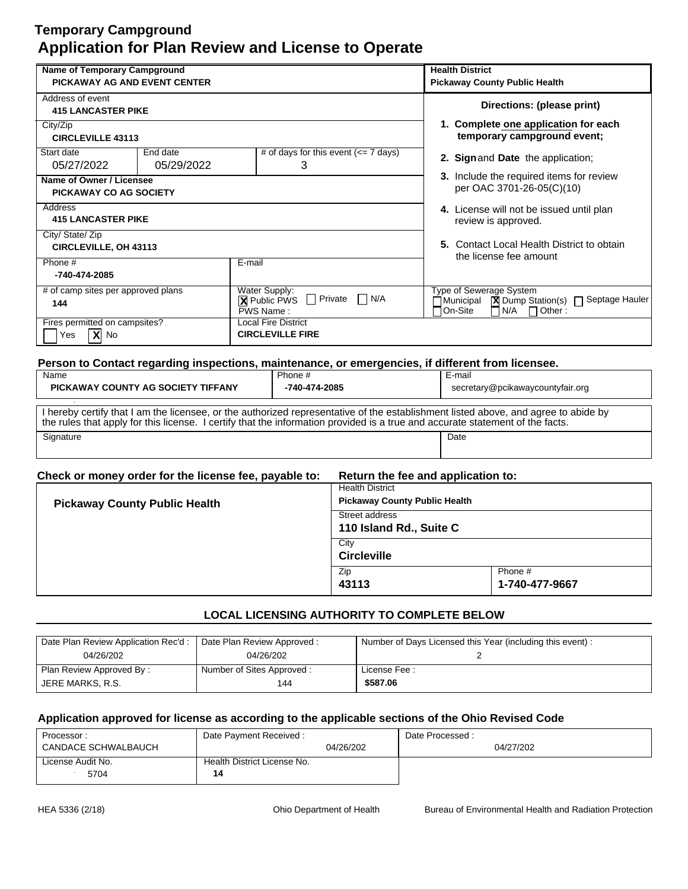| Name of Temporary Campground       |            | <b>Health District</b>                                                                            |                                                                                            |
|------------------------------------|------------|---------------------------------------------------------------------------------------------------|--------------------------------------------------------------------------------------------|
| PICKAWAY AG AND EVENT CENTER       |            | <b>Pickaway County Public Health</b>                                                              |                                                                                            |
| Address of event                   |            |                                                                                                   | Directions: (please print)                                                                 |
| <b>415 LANCASTER PIKE</b>          |            |                                                                                                   |                                                                                            |
| City/Zip                           |            |                                                                                                   | 1. Complete one application for each                                                       |
| <b>CIRCLEVILLE 43113</b>           |            |                                                                                                   | temporary campground event;                                                                |
| Start date                         | End date   | # of days for this event $\left(\leq 7 \text{ days}\right)$                                       | 2. Sign and Date the application;                                                          |
| 05/27/2022                         | 05/29/2022 | 3                                                                                                 |                                                                                            |
| Name of Owner / Licensee           |            |                                                                                                   | 3. Include the required items for review                                                   |
| PICKAWAY CO AG SOCIETY             |            |                                                                                                   | per OAC 3701-26-05(C)(10)                                                                  |
| Address                            |            |                                                                                                   | 4. License will not be issued until plan                                                   |
| <b>415 LANCASTER PIKE</b>          |            |                                                                                                   | review is approved.                                                                        |
| City/ State/ Zip                   |            |                                                                                                   |                                                                                            |
| <b>CIRCLEVILLE, OH 43113</b>       |            |                                                                                                   | 5. Contact Local Health District to obtain                                                 |
| Phone #                            | E-mail     |                                                                                                   | the license fee amount                                                                     |
| -740-474-2085                      |            |                                                                                                   |                                                                                            |
| # of camp sites per approved plans |            | Water Supply:                                                                                     | Type of Sewerage System                                                                    |
| 144                                |            | $\Box$ Private<br>$\Box$ N/A<br><b>X</b> Public PWS                                               | Septage Hauler<br>$\boxed{\mathbf{X}}$ Dump Station(s) $\boxed{\phantom{a}}$<br>∏Municipal |
| Fires permitted on campsites?      |            | PWS Name:<br><b>Local Fire District</b>                                                           | On-Site<br>N/A<br>$\Box$ Other :                                                           |
| $\mathbf{X}$ No<br>Yes             |            | <b>CIRCLEVILLE FIRE</b>                                                                           |                                                                                            |
|                                    |            |                                                                                                   |                                                                                            |
|                                    |            |                                                                                                   |                                                                                            |
|                                    |            | Person to Contact regarding inspections, maintenance, or emergencies, if different from licensee. |                                                                                            |

| Name                                                                                                                                                                                                                                                                | Phone #       | E-mail                           |
|---------------------------------------------------------------------------------------------------------------------------------------------------------------------------------------------------------------------------------------------------------------------|---------------|----------------------------------|
| PICKAWAY COUNTY AG SOCIETY TIFFANY                                                                                                                                                                                                                                  | -740-474-2085 | secretary@pcikawaycountyfair.org |
| I hereby certify that I am the licensee, or the authorized representative of the establishment listed above, and agree to abide by<br>the rules that apply for this license. I certify that the information provided is a true and accurate statement of the facts. |               |                                  |
| Signature                                                                                                                                                                                                                                                           |               | Date                             |

| Check or money order for the license fee, payable to: | Return the fee and application to: |
|-------------------------------------------------------|------------------------------------|
|-------------------------------------------------------|------------------------------------|

| <b>Pickaway County Public Health</b> | <b>Health District</b><br><b>Pickaway County Public Health</b> |                           |
|--------------------------------------|----------------------------------------------------------------|---------------------------|
|                                      | Street address<br>110 Island Rd., Suite C                      |                           |
|                                      | City<br><b>Circleville</b>                                     |                           |
|                                      | Zip<br>43113                                                   | Phone #<br>1-740-477-9667 |

## **LOCAL LICENSING AUTHORITY TO COMPLETE BELOW**

| Date Plan Review Application Rec'd: | Date Plan Review Approved: | Number of Days Licensed this Year (including this event): |
|-------------------------------------|----------------------------|-----------------------------------------------------------|
| 04/26/202                           | 04/26/202                  |                                                           |
| Plan Review Approved By:            | Number of Sites Approved:  | License Fee:                                              |
| JERE MARKS, R.S.                    | 144                        | \$587.06                                                  |

| Processor:          | Date Payment Received:      |           | Date Processed: |
|---------------------|-----------------------------|-----------|-----------------|
| CANDACE SCHWALBAUCH |                             | 04/26/202 | 04/27/202       |
| License Audit No.   | Health District License No. |           |                 |
| 5704                | 14                          |           |                 |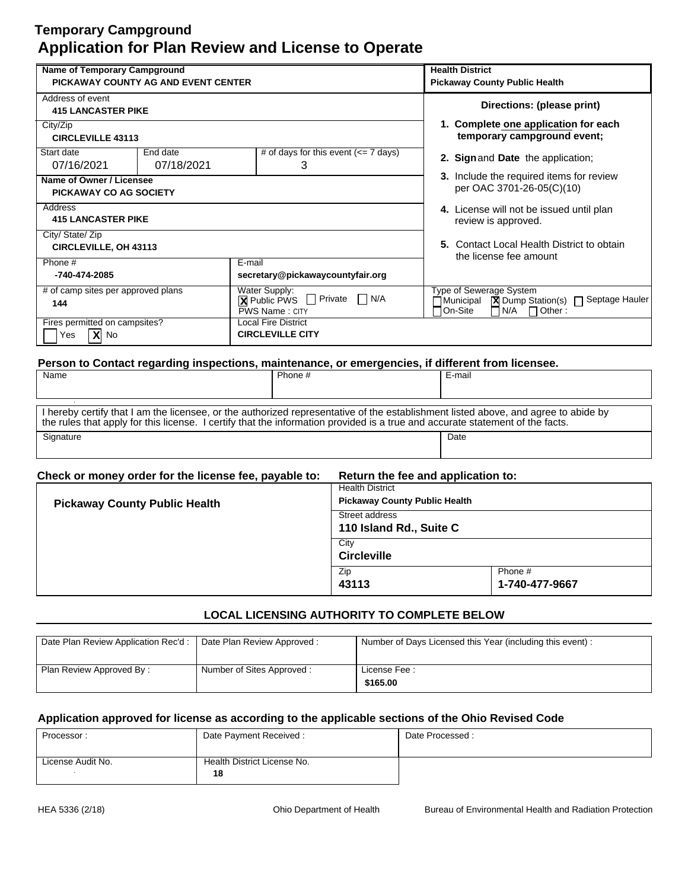| <b>Name of Temporary Campground</b>                                                               |                                                             | <b>Health District</b>                                                                     |
|---------------------------------------------------------------------------------------------------|-------------------------------------------------------------|--------------------------------------------------------------------------------------------|
| PICKAWAY COUNTY AG AND EVENT CENTER                                                               |                                                             | <b>Pickaway County Public Health</b>                                                       |
| Address of event                                                                                  |                                                             |                                                                                            |
| <b>415 LANCASTER PIKE</b>                                                                         |                                                             | Directions: (please print)                                                                 |
| City/Zip                                                                                          |                                                             | 1. Complete one application for each                                                       |
| <b>CIRCLEVILLE 43113</b>                                                                          |                                                             | temporary campground event;                                                                |
| Start date<br>End date                                                                            | # of days for this event $\left(\leq 7 \text{ days}\right)$ | 2. Sign and Date the application;                                                          |
| 07/18/2021<br>07/16/2021                                                                          | 3                                                           |                                                                                            |
| Name of Owner / Licensee                                                                          |                                                             | 3. Include the required items for review                                                   |
| PICKAWAY CO AG SOCIETY                                                                            |                                                             | per OAC 3701-26-05(C)(10)                                                                  |
| Address                                                                                           |                                                             | 4. License will not be issued until plan                                                   |
| <b>415 LANCASTER PIKE</b>                                                                         |                                                             | review is approved.                                                                        |
| City/ State/ Zip                                                                                  |                                                             |                                                                                            |
| <b>CIRCLEVILLE, OH 43113</b>                                                                      |                                                             | 5. Contact Local Health District to obtain<br>the license fee amount                       |
| Phone #                                                                                           | E-mail                                                      |                                                                                            |
| -740-474-2085<br>secretary@pickawaycountyfair.org                                                 |                                                             |                                                                                            |
| # of camp sites per approved plans                                                                | Water Supply:                                               | Type of Sewerage System                                                                    |
| $\Box$ N/A<br>$\Box$ Private<br>$\boxtimes$ Public PWS<br>144<br>PWS Name: CITY                   |                                                             | <b>X</b> Dump Station(s) □ Septage Hauler<br>∏Municipal<br>N/A<br>On-Site<br>$\Box$ Other: |
| Fires permitted on campsites?<br><b>Local Fire District</b>                                       |                                                             |                                                                                            |
| $X$ No<br><b>CIRCLEVILLE CITY</b><br>Yes                                                          |                                                             |                                                                                            |
| Person to Contact regarding inspections, maintenance, or emergencies, if different from licensee. |                                                             |                                                                                            |

| Name                                                                                                                                                                                                                                                                | Phone # | E-mail |  |
|---------------------------------------------------------------------------------------------------------------------------------------------------------------------------------------------------------------------------------------------------------------------|---------|--------|--|
|                                                                                                                                                                                                                                                                     |         |        |  |
| I hereby certify that I am the licensee, or the authorized representative of the establishment listed above, and agree to abide by<br>the rules that apply for this license. I certify that the information provided is a true and accurate statement of the facts. |         |        |  |
| Signature                                                                                                                                                                                                                                                           |         | Date   |  |

| Check or money order for the license fee, payable to: |
|-------------------------------------------------------|
|-------------------------------------------------------|

| <b>Pickaway County Public Health</b> | <b>Health District</b><br><b>Pickaway County Public Health</b> |                |  |
|--------------------------------------|----------------------------------------------------------------|----------------|--|
|                                      | Street address                                                 |                |  |
|                                      | 110 Island Rd., Suite C                                        |                |  |
|                                      | City                                                           |                |  |
|                                      | <b>Circleville</b>                                             |                |  |
|                                      | Zip                                                            | Phone #        |  |
|                                      | 43113                                                          | 1-740-477-9667 |  |

## **LOCAL LICENSING AUTHORITY TO COMPLETE BELOW**

| Date Plan Review Application Rec'd: | Date Plan Review Approved: | Number of Days Licensed this Year (including this event): |
|-------------------------------------|----------------------------|-----------------------------------------------------------|
| Plan Review Approved By:            | Number of Sites Approved:  | License Fee:<br>\$165.00                                  |

| Processor:        | Date Payment Received:      | Date Processed: |
|-------------------|-----------------------------|-----------------|
|                   |                             |                 |
| License Audit No. | Health District License No. |                 |
|                   | 18                          |                 |
|                   |                             |                 |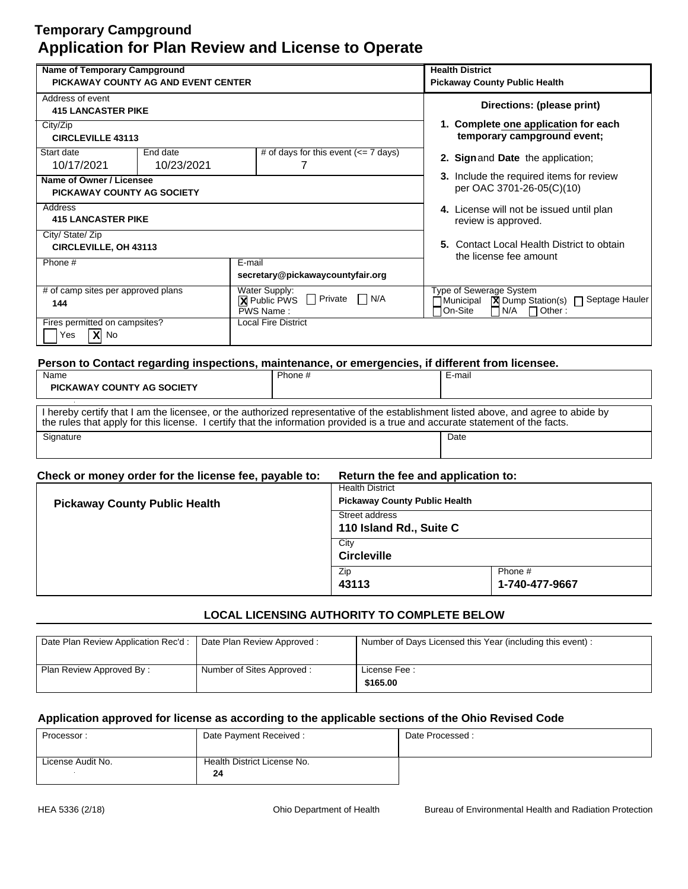| <b>Name of Temporary Campground</b>                           |                        |                                                   |                                                                                                   | <b>Health District</b>                                                       |                                |                                                                                            |
|---------------------------------------------------------------|------------------------|---------------------------------------------------|---------------------------------------------------------------------------------------------------|------------------------------------------------------------------------------|--------------------------------|--------------------------------------------------------------------------------------------|
| PICKAWAY COUNTY AG AND EVENT CENTER                           |                        |                                                   |                                                                                                   | <b>Pickaway County Public Health</b>                                         |                                |                                                                                            |
| Address of event<br><b>415 LANCASTER PIKE</b>                 |                        |                                                   |                                                                                                   |                                                                              |                                | Directions: (please print)                                                                 |
| City/Zip<br><b>CIRCLEVILLE 43113</b>                          |                        |                                                   |                                                                                                   |                                                                              |                                | 1. Complete one application for each<br>temporary campground event;                        |
| Start date<br>10/17/2021                                      | End date<br>10/23/2021 |                                                   | # of days for this event $\left(\leq 7 \text{ days}\right)$<br>7                                  |                                                                              |                                | 2. Sign and Date the application;                                                          |
| Name of Owner / Licensee<br><b>PICKAWAY COUNTY AG SOCIETY</b> |                        |                                                   |                                                                                                   | <b>3.</b> Include the required items for review<br>per OAC 3701-26-05(C)(10) |                                |                                                                                            |
| Address<br><b>415 LANCASTER PIKE</b>                          |                        |                                                   |                                                                                                   |                                                                              | review is approved.            | 4. License will not be issued until plan                                                   |
| City/ State/ Zip<br><b>CIRCLEVILLE, OH 43113</b>              |                        |                                                   |                                                                                                   |                                                                              | the license fee amount         | 5. Contact Local Health District to obtain                                                 |
| Phone #                                                       |                        | E-mail                                            | secretary@pickawaycountyfair.org                                                                  |                                                                              |                                |                                                                                            |
| $#$ of camp sites per approved plans<br>144                   |                        | Water Supply:<br><b>X</b> Public PWS<br>PWS Name: | $\Box$ N/A<br>Private<br>$\mathsf{L}$                                                             | 7 Municipal<br>On-Site                                                       | Type of Sewerage System<br>N/A | $\boxed{\mathbf{X}}$ Dump Station(s) $\boxed{\phantom{1}}$ Septage Hauler<br>$\Box$ Other: |
| Fires permitted on campsites?<br>$X$ No<br>Yes                |                        |                                                   | <b>Local Fire District</b>                                                                        |                                                                              |                                |                                                                                            |
|                                                               |                        |                                                   | Person to Contact regarding inspections, maintenance, or emergencies, if different from licensee. |                                                                              |                                |                                                                                            |
| Name                                                          |                        |                                                   | Phone #                                                                                           | E-mail                                                                       |                                |                                                                                            |
| <b>PICKAWAY COUNTY AG SOCIETY</b>                             |                        |                                                   |                                                                                                   |                                                                              |                                |                                                                                            |

| I hereby certify that I am the licensee, or the authorized representative of the establishment listed above, and agree to abide by<br>the rules that apply for this license. I certify that the information provided is a true and accurate statement of the facts. |      |
|---------------------------------------------------------------------------------------------------------------------------------------------------------------------------------------------------------------------------------------------------------------------|------|
| Signature                                                                                                                                                                                                                                                           | Date |

## **Check or money order for the license fee, payable to: Return the fee and application to:**

| <b>Pickaway County Public Health</b> | <b>Health District</b><br><b>Pickaway County Public Health</b> |                           |  |
|--------------------------------------|----------------------------------------------------------------|---------------------------|--|
|                                      | Street address<br>110 Island Rd., Suite C                      |                           |  |
|                                      | City<br><b>Circleville</b>                                     |                           |  |
|                                      | Zip<br>43113                                                   | Phone #<br>1-740-477-9667 |  |

## **LOCAL LICENSING AUTHORITY TO COMPLETE BELOW**

| Date Plan Review Application Rec'd: | Date Plan Review Approved: | Number of Days Licensed this Year (including this event): |
|-------------------------------------|----------------------------|-----------------------------------------------------------|
|                                     |                            |                                                           |
|                                     |                            |                                                           |
|                                     |                            |                                                           |
| Plan Review Approved By:            | Number of Sites Approved:  | License Fee:                                              |
|                                     |                            |                                                           |
|                                     |                            | \$165.00                                                  |
|                                     |                            |                                                           |

| Processor:        | Date Payment Received:      | Date Processed: |
|-------------------|-----------------------------|-----------------|
|                   |                             |                 |
| License Audit No. | Health District License No. |                 |
|                   | 24                          |                 |
|                   |                             |                 |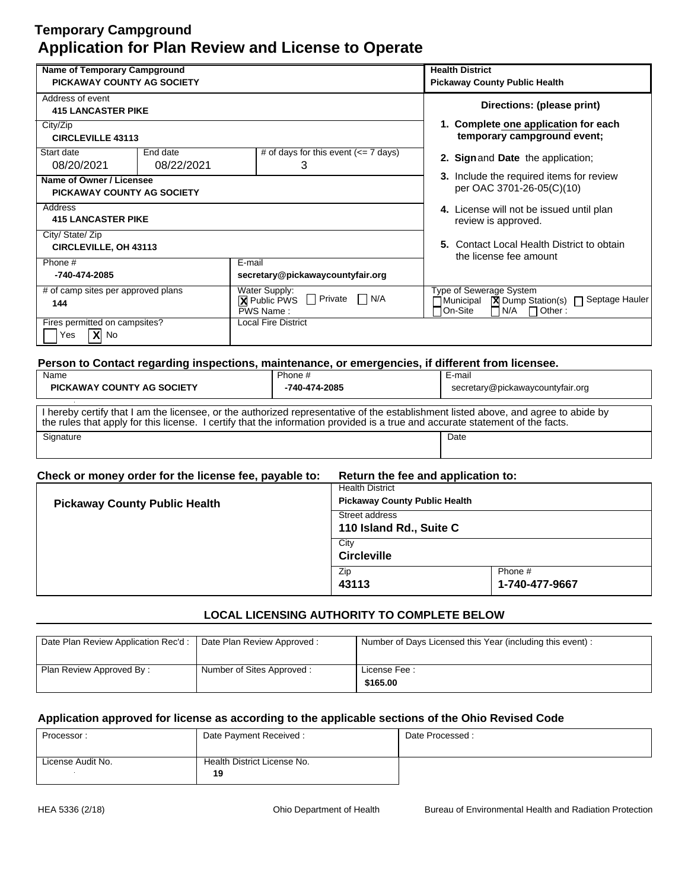| <b>Name of Temporary Campground</b>                           |                        |                                                                                                   | <b>Health District</b>                                                                                                 |
|---------------------------------------------------------------|------------------------|---------------------------------------------------------------------------------------------------|------------------------------------------------------------------------------------------------------------------------|
| <b>PICKAWAY COUNTY AG SOCIETY</b>                             |                        |                                                                                                   | <b>Pickaway County Public Health</b>                                                                                   |
| Address of event<br><b>415 LANCASTER PIKE</b>                 |                        |                                                                                                   | Directions: (please print)                                                                                             |
| City/Zip<br><b>CIRCLEVILLE 43113</b>                          |                        |                                                                                                   | 1. Complete one application for each<br>temporary campground event;                                                    |
| Start date<br>08/20/2021                                      | End date<br>08/22/2021 | # of days for this event $\left(\leq 7 \text{ days}\right)$<br>3                                  | 2. Sign and Date the application;                                                                                      |
| Name of Owner / Licensee<br><b>PICKAWAY COUNTY AG SOCIETY</b> |                        |                                                                                                   | 3. Include the required items for review<br>per OAC 3701-26-05(C)(10)                                                  |
| Address<br><b>415 LANCASTER PIKE</b>                          |                        | 4. License will not be issued until plan<br>review is approved.                                   |                                                                                                                        |
| City/ State/ Zip<br><b>CIRCLEVILLE, OH 43113</b>              |                        |                                                                                                   | 5. Contact Local Health District to obtain<br>the license fee amount                                                   |
| Phone #<br>-740-474-2085                                      |                        | E-mail<br>secretary@pickawaycountyfair.org                                                        |                                                                                                                        |
| # of camp sites per approved plans<br>144                     |                        | Water Supply:<br>$\Box$ Private<br>N/A<br>$\perp$<br><b>X</b> Public PWS<br>PWS Name:             | Type of Sewerage System<br><b>X</b> Dump Station(s) □ Septage Hauler<br>7 Municipal<br>On-Site<br>$N/A$ $\Box$ Other : |
| Fires permitted on campsites?<br>$X $ No<br>Yes               |                        | <b>Local Fire District</b>                                                                        |                                                                                                                        |
|                                                               |                        | Person to Contact regarding inspections, maintenance, or emergencies, if different from licensee. |                                                                                                                        |
| Name                                                          |                        | Phone #                                                                                           | E-mail                                                                                                                 |
| <b>PICKAWAY COUNTY AG SOCIETY</b>                             |                        | -740-474-2085                                                                                     | secretary@pickawaycountyfair.org                                                                                       |

| I hereby certify that I am the licensee, or the authorized representative of the establishment listed above, and agree to abide by<br>the rules that apply for this license. I certify that the information provided is a true and accurate statement of the facts. |      |
|---------------------------------------------------------------------------------------------------------------------------------------------------------------------------------------------------------------------------------------------------------------------|------|
| Signature                                                                                                                                                                                                                                                           | Date |

| Check or money order for the license fee, payable to:<br>Return the fee and application to: |
|---------------------------------------------------------------------------------------------|
|---------------------------------------------------------------------------------------------|

| <b>Pickaway County Public Health</b> | <b>Health District</b><br><b>Pickaway County Public Health</b> |                           |
|--------------------------------------|----------------------------------------------------------------|---------------------------|
|                                      | Street address<br>110 Island Rd., Suite C                      |                           |
|                                      | City<br><b>Circleville</b>                                     |                           |
|                                      | Zip<br>43113                                                   | Phone #<br>1-740-477-9667 |

## **LOCAL LICENSING AUTHORITY TO COMPLETE BELOW**

| Date Plan Review Application Rec'd :   Date Plan Review Approved : |                           | Number of Days Licensed this Year (including this event): |
|--------------------------------------------------------------------|---------------------------|-----------------------------------------------------------|
| Plan Review Approved By:                                           | Number of Sites Approved: | License Fee:<br>\$165.00                                  |

| Processor:        | Date Payment Received:      | Date Processed: |
|-------------------|-----------------------------|-----------------|
|                   |                             |                 |
| License Audit No. | Health District License No. |                 |
|                   | 19                          |                 |
|                   |                             |                 |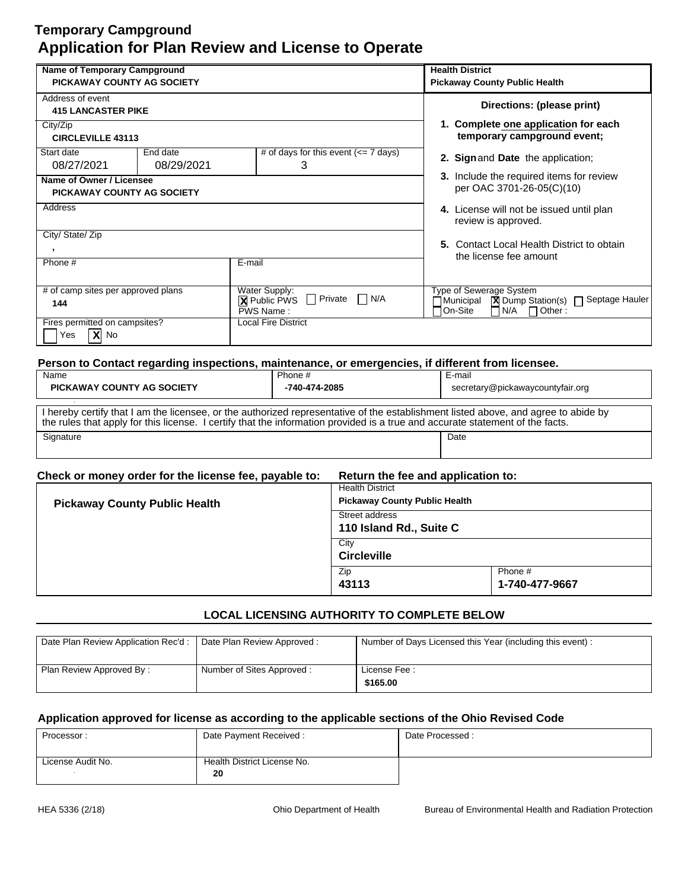| <b>Name of Temporary Campground</b>                                                                                    |        | <b>Health District</b>                                                          |                                                                                                                                                        |
|------------------------------------------------------------------------------------------------------------------------|--------|---------------------------------------------------------------------------------|--------------------------------------------------------------------------------------------------------------------------------------------------------|
| PICKAWAY COUNTY AG SOCIETY                                                                                             |        | <b>Pickaway County Public Health</b>                                            |                                                                                                                                                        |
| Address of event<br><b>415 LANCASTER PIKE</b>                                                                          |        |                                                                                 | Directions: (please print)                                                                                                                             |
| City/Zip<br><b>CIRCLEVILLE 43113</b>                                                                                   |        |                                                                                 | 1. Complete one application for each<br>temporary campground event;                                                                                    |
| # of days for this event $\left(\leq 7 \text{ days}\right)$<br>Start date<br>End date<br>3<br>08/27/2021<br>08/29/2021 |        | 2. Sign and Date the application;                                               |                                                                                                                                                        |
| Name of Owner / Licensee<br><b>PICKAWAY COUNTY AG SOCIETY</b>                                                          |        | 3. Include the required items for review<br>per OAC 3701-26-05(C)(10)           |                                                                                                                                                        |
| Address                                                                                                                |        |                                                                                 | 4. License will not be issued until plan<br>review is approved.                                                                                        |
| City/ State/ Zip                                                                                                       |        |                                                                                 |                                                                                                                                                        |
| $\overline{\phantom{a}}$                                                                                               |        |                                                                                 | 5. Contact Local Health District to obtain<br>the license fee amount                                                                                   |
| Phone #                                                                                                                | E-mail |                                                                                 |                                                                                                                                                        |
| # of camp sites per approved plans<br>144                                                                              |        | Water Supply:<br>П<br>Private<br>$\Box$ N/A<br><b>X</b> Public PWS<br>PWS Name: | Type of Sewerage System<br>$\boxed{\mathbf{X}}$ Dump Station(s) $\boxed{\phantom{1}}$ Septage Hauler<br>Municipal<br>l On-Site<br>N/A<br>$\Box$ Other: |
| Fires permitted on campsites?<br>$ X $ No<br>Yes                                                                       |        | Local Fire District                                                             |                                                                                                                                                        |
|                                                                                                                        |        |                                                                                 | Person to Contact regarding inspections, maintenance, or emergencies, if different from licensee.                                                      |
| Name                                                                                                                   |        | Phone #                                                                         | E-mail                                                                                                                                                 |
| <b>PICKAWAY COUNTY AG SOCIETY</b>                                                                                      |        | -740-474-2085                                                                   | secretary@pickawaycountyfair.org                                                                                                                       |
|                                                                                                                        |        |                                                                                 |                                                                                                                                                        |

Signature Date **Date of the Contract of Contract Contract of Contract Contract Contract On Contract Contract On Contract On Contract On Contract On Contract On Contract On Contract On Contract On Contract On Contract On Co** I hereby certify that I am the licensee, or the authorized representative of the establishment listed above, and agree to abide by the rules that apply for this license. I certify that the information provided is a true and accurate statement of the facts.

| Check or money order for the license fee, payable to: | Return the fee and application to: |
|-------------------------------------------------------|------------------------------------|
|                                                       |                                    |

| <b>Pickaway County Public Health</b> | <b>Health District</b><br><b>Pickaway County Public Health</b> |                           |
|--------------------------------------|----------------------------------------------------------------|---------------------------|
|                                      | Street address<br>110 Island Rd., Suite C                      |                           |
|                                      | City<br><b>Circleville</b>                                     |                           |
|                                      | Zip<br>43113                                                   | Phone #<br>1-740-477-9667 |

## **LOCAL LICENSING AUTHORITY TO COMPLETE BELOW**

| Date Plan Review Application Rec'd: | Date Plan Review Approved: | Number of Days Licensed this Year (including this event): |
|-------------------------------------|----------------------------|-----------------------------------------------------------|
| Plan Review Approved By:            | Number of Sites Approved:  | License Fee:<br>\$165.00                                  |

| Processor:        | Date Payment Received:      | Date Processed: |
|-------------------|-----------------------------|-----------------|
|                   |                             |                 |
| License Audit No. | Health District License No. |                 |
|                   | 20                          |                 |
|                   |                             |                 |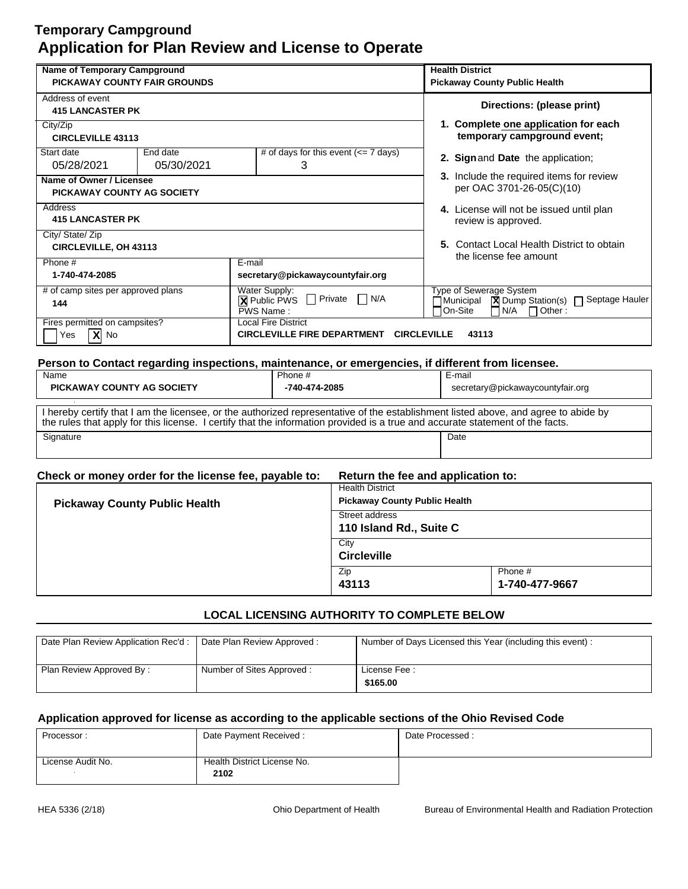| <b>Name of Temporary Campground</b>                                                    |            |                                                                                                                                                                                                | <b>Health District</b>                                                                                                             |
|----------------------------------------------------------------------------------------|------------|------------------------------------------------------------------------------------------------------------------------------------------------------------------------------------------------|------------------------------------------------------------------------------------------------------------------------------------|
| PICKAWAY COUNTY FAIR GROUNDS                                                           |            |                                                                                                                                                                                                | <b>Pickaway County Public Health</b>                                                                                               |
| Address of event                                                                       |            |                                                                                                                                                                                                | Directions: (please print)                                                                                                         |
| <b>415 LANCASTER PK</b>                                                                |            |                                                                                                                                                                                                |                                                                                                                                    |
| City/Zip                                                                               |            |                                                                                                                                                                                                | 1. Complete one application for each                                                                                               |
| <b>CIRCLEVILLE 43113</b>                                                               |            |                                                                                                                                                                                                | temporary campground event;                                                                                                        |
| Start date                                                                             | End date   | # of days for this event $\left(\leq 7 \text{ days}\right)$                                                                                                                                    | 2. Sign and Date the application;                                                                                                  |
| 05/28/2021                                                                             | 05/30/2021 | 3                                                                                                                                                                                              |                                                                                                                                    |
| Name of Owner / Licensee                                                               |            |                                                                                                                                                                                                | 3. Include the required items for review                                                                                           |
| <b>PICKAWAY COUNTY AG SOCIETY</b>                                                      |            |                                                                                                                                                                                                | per OAC 3701-26-05(C)(10)                                                                                                          |
| Address                                                                                |            |                                                                                                                                                                                                | 4. License will not be issued until plan                                                                                           |
| <b>415 LANCASTER PK</b>                                                                |            |                                                                                                                                                                                                | review is approved.                                                                                                                |
| City/ State/ Zip                                                                       |            |                                                                                                                                                                                                |                                                                                                                                    |
| CIRCLEVILLE, OH 43113                                                                  |            |                                                                                                                                                                                                | 5. Contact Local Health District to obtain<br>the license fee amount                                                               |
| Phone #                                                                                |            | E-mail                                                                                                                                                                                         |                                                                                                                                    |
| 1-740-474-2085                                                                         |            | secretary@pickawaycountyfair.org                                                                                                                                                               |                                                                                                                                    |
| # of camp sites per approved plans                                                     |            | Water Supply:                                                                                                                                                                                  | Type of Sewerage System                                                                                                            |
| 144                                                                                    |            | $\Box$ Private<br>$\Box$ N/A<br><b>X</b> Public PWS<br>$\boxed{\mathbf{X}}$ Dump Station(s) $\boxed{\phantom{1}}$ Septage Hauler<br>⊣Municipal<br>PWS Name:<br>On-Site<br>N/A<br>$\Box$ Other: |                                                                                                                                    |
| Fires permitted on campsites?                                                          |            | Local Fire District                                                                                                                                                                            |                                                                                                                                    |
| $\overline{\mathbf{x}}$<br>No<br>Yes                                                   |            | <b>CIRCLEVILLE FIRE DEPARTMENT</b><br><b>CIRCLEVILLE</b><br>43113                                                                                                                              |                                                                                                                                    |
|                                                                                        |            |                                                                                                                                                                                                |                                                                                                                                    |
|                                                                                        |            | Person to Contact regarding inspections, maintenance, or emergencies, if different from licensee.                                                                                              |                                                                                                                                    |
| Name<br>Phone #                                                                        |            | E-mail                                                                                                                                                                                         |                                                                                                                                    |
| <b>PICKAWAY COUNTY AG SOCIETY</b><br>-740-474-2085<br>secretary@pickawaycountyfair.org |            |                                                                                                                                                                                                |                                                                                                                                    |
|                                                                                        |            |                                                                                                                                                                                                | I hereby certify that I am the licensee, or the authorized representative of the establishment listed above, and agree to abide by |

Signature Date **Date of the Contract of Contract Contract of Contract Contract Contract On Contract Contract On Contract On Contract On Contract On Contract On Contract On Contract On Contract On Contract On Contract On Co** I hereby certify that I am the licensee, or the authorized representative of the establishment listed above, and agree to abide by the rules that apply for this license. I certify that the information provided is a true and accurate statement of the facts.

#### **Check or money order for the license fee, payable to: Return the fee and application to:**

| <b>Pickaway County Public Health</b> | <b>Health District</b><br><b>Pickaway County Public Health</b><br>Street address<br>110 Island Rd., Suite C |                           |
|--------------------------------------|-------------------------------------------------------------------------------------------------------------|---------------------------|
|                                      | City<br><b>Circleville</b>                                                                                  |                           |
|                                      | Zip<br>43113                                                                                                | Phone #<br>1-740-477-9667 |

## **LOCAL LICENSING AUTHORITY TO COMPLETE BELOW**

| Date Plan Review Application Rec'd :   Date Plan Review Approved : |                           | Number of Days Licensed this Year (including this event): |
|--------------------------------------------------------------------|---------------------------|-----------------------------------------------------------|
| Plan Review Approved By:                                           | Number of Sites Approved: | License Fee:<br>\$165.00                                  |

| Processor:        | Date Payment Received:      | Date Processed: |
|-------------------|-----------------------------|-----------------|
|                   |                             |                 |
| License Audit No. | Health District License No. |                 |
|                   | 2102                        |                 |
|                   |                             |                 |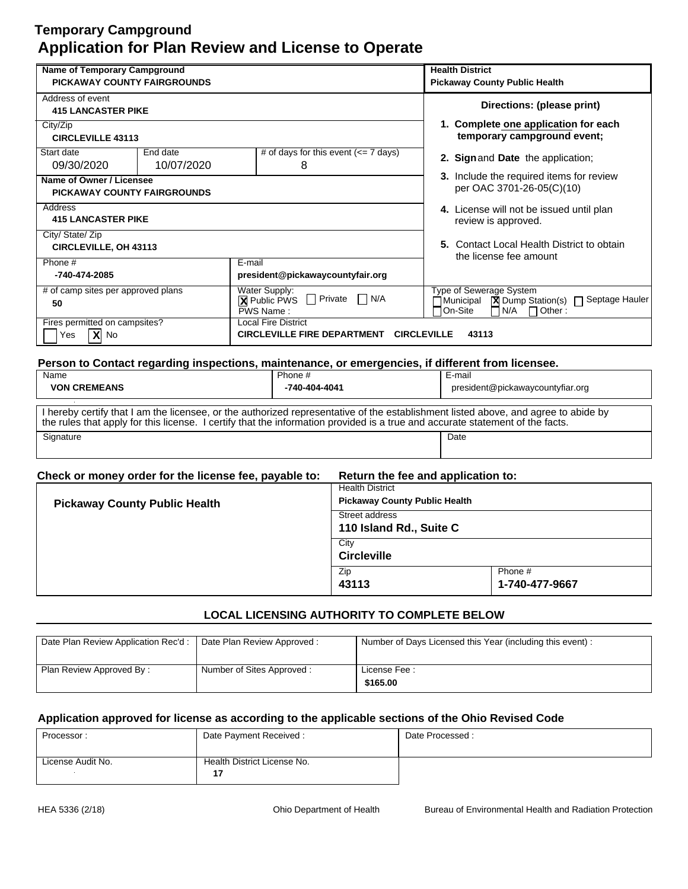| Name of Temporary Campground                                                                                                  |                                                                  | <b>Health District</b>                                          |                                                                                                                                                      |                                                                                                   |
|-------------------------------------------------------------------------------------------------------------------------------|------------------------------------------------------------------|-----------------------------------------------------------------|------------------------------------------------------------------------------------------------------------------------------------------------------|---------------------------------------------------------------------------------------------------|
| <b>PICKAWAY COUNTY FAIRGROUNDS</b>                                                                                            |                                                                  |                                                                 | <b>Pickaway County Public Health</b>                                                                                                                 |                                                                                                   |
| Address of event<br><b>415 LANCASTER PIKE</b>                                                                                 |                                                                  |                                                                 |                                                                                                                                                      | Directions: (please print)                                                                        |
| City/Zip<br><b>CIRCLEVILLE 43113</b>                                                                                          |                                                                  |                                                                 |                                                                                                                                                      | 1. Complete one application for each<br>temporary campground event;                               |
| # of days for this event $\left(\rightleftharpoons$ 7 days)<br>Start date<br>End date<br>10/07/2020<br>09/30/2020<br>8        |                                                                  |                                                                 | 2. Sign and Date the application;                                                                                                                    |                                                                                                   |
| Name of Owner / Licensee<br><b>PICKAWAY COUNTY FAIRGROUNDS</b>                                                                |                                                                  |                                                                 | 3. Include the required items for review<br>per OAC 3701-26-05(C)(10)                                                                                |                                                                                                   |
| Address<br><b>415 LANCASTER PIKE</b>                                                                                          |                                                                  | 4. License will not be issued until plan<br>review is approved. |                                                                                                                                                      |                                                                                                   |
| City/ State/ Zip<br><b>CIRCLEVILLE, OH 43113</b>                                                                              |                                                                  |                                                                 |                                                                                                                                                      | 5. Contact Local Health District to obtain<br>the license fee amount                              |
| Phone #<br>-740-474-2085                                                                                                      |                                                                  | $E$ -mail<br>president@pickawaycountyfair.org                   |                                                                                                                                                      |                                                                                                   |
| # of camp sites per approved plans<br>Water Supply:<br>$\Box$ N/A<br>$\Box$ Private<br><b>X</b> Public PWS<br>50<br>PWS Name: |                                                                  |                                                                 | Type of Sewerage System<br>$\boxed{\mathbf{X}}$ Dump Station(s) $\boxed{\phantom{1}}$ Septage Hauler<br>Municipal<br>On-Site<br>N/A<br>$\Box$ Other: |                                                                                                   |
| Fires permitted on campsites?<br>$X $ No<br>Yes                                                                               | <b>Local Fire District</b><br><b>CIRCLEVILLE FIRE DEPARTMENT</b> |                                                                 | <b>CIRCLEVILLE</b>                                                                                                                                   | 43113                                                                                             |
|                                                                                                                               |                                                                  |                                                                 |                                                                                                                                                      | Person to Contact regarding inspections, maintenance, or emergencies, if different from licensee. |
| Name                                                                                                                          |                                                                  | Phone #                                                         |                                                                                                                                                      | E-mail                                                                                            |
| <b>VON CREMEANS</b><br>-740-404-4041                                                                                          |                                                                  |                                                                 | president@pickawaycountyfiar.org                                                                                                                     |                                                                                                   |

Signature Date **Date of the Contract of Contract Contract of Contract Contract Contract On Contract Contract On Contract On Contract On Contract On Contract On Contract On Contract On Contract On Contract On Contract On Co** I hereby certify that I am the licensee, or the authorized representative of the establishment listed above, and agree to abide by the rules that apply for this license. I certify that the information provided is a true and accurate statement of the facts.

#### **Check or money order for the license fee, payable to: Return the fee and application to:**

| <b>Pickaway County Public Health</b> | <b>Health District</b><br><b>Pickaway County Public Health</b> |                           |
|--------------------------------------|----------------------------------------------------------------|---------------------------|
|                                      | Street address<br>110 Island Rd., Suite C                      |                           |
|                                      | City<br><b>Circleville</b>                                     |                           |
|                                      | Zip<br>43113                                                   | Phone #<br>1-740-477-9667 |

## **LOCAL LICENSING AUTHORITY TO COMPLETE BELOW**

| Date Plan Review Application Rec'd : | Date Plan Review Approved: | Number of Days Licensed this Year (including this event): |
|--------------------------------------|----------------------------|-----------------------------------------------------------|
|                                      |                            |                                                           |
|                                      |                            |                                                           |
|                                      |                            |                                                           |
| Plan Review Approved By:             | Number of Sites Approved:  | License Fee:                                              |
|                                      |                            |                                                           |
|                                      |                            | \$165.00                                                  |
|                                      |                            |                                                           |

| Processor:        | Date Payment Received:      | Date Processed: |
|-------------------|-----------------------------|-----------------|
|                   |                             |                 |
| License Audit No. | Health District License No. |                 |
|                   | 17                          |                 |
|                   |                             |                 |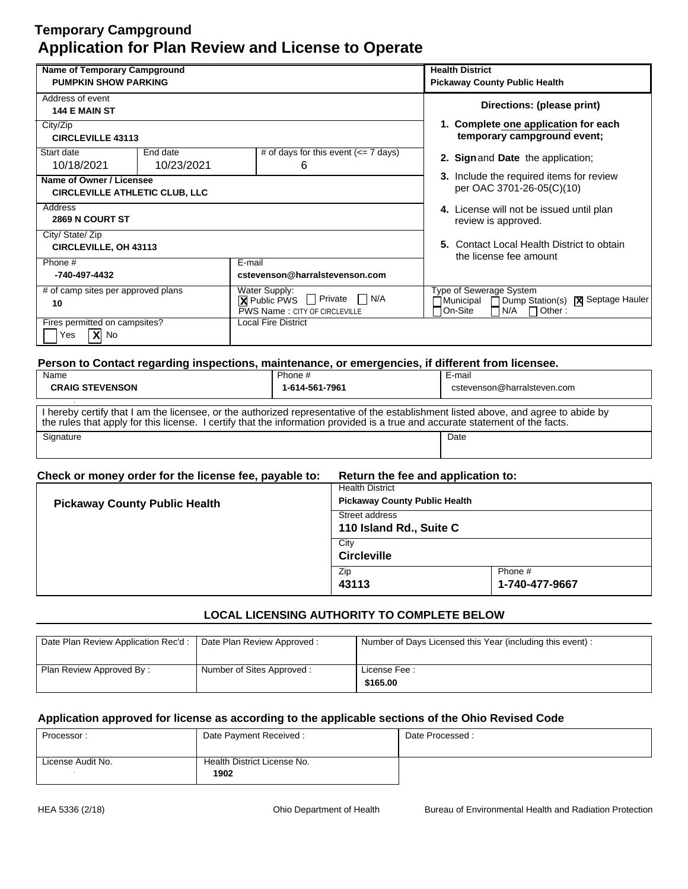| <b>Name of Temporary Campground</b>                               |                        |                                                                                                               | <b>Health District</b>                                                                                         |
|-------------------------------------------------------------------|------------------------|---------------------------------------------------------------------------------------------------------------|----------------------------------------------------------------------------------------------------------------|
| <b>PUMPKIN SHOW PARKING</b>                                       |                        |                                                                                                               | <b>Pickaway County Public Health</b>                                                                           |
| Address of event<br><b>144 E MAIN ST</b>                          |                        |                                                                                                               | Directions: (please print)                                                                                     |
| City/Zip<br><b>CIRCLEVILLE 43113</b>                              |                        |                                                                                                               | 1. Complete one application for each<br>temporary campground event;                                            |
| Start date<br>10/18/2021                                          | End date<br>10/23/2021 | # of days for this event $\left(\rightleftharpoons$ 7 days)<br>6                                              | 2. Sign and Date the application;                                                                              |
| Name of Owner / Licensee<br><b>CIRCLEVILLE ATHLETIC CLUB, LLC</b> |                        |                                                                                                               | 3. Include the required items for review<br>per OAC 3701-26-05(C)(10)                                          |
| Address<br><b>2869 N COURT ST</b>                                 |                        |                                                                                                               | 4. License will not be issued until plan<br>review is approved.                                                |
| City/ State/ Zip<br><b>CIRCLEVILLE, OH 43113</b>                  |                        |                                                                                                               | 5. Contact Local Health District to obtain<br>the license fee amount                                           |
| Phone #<br>-740-497-4432                                          |                        | E-mail<br>cstevenson@harralstevenson.com                                                                      |                                                                                                                |
| # of camp sites per approved plans<br>10                          |                        | Water Supply:<br>П<br>N/A<br>$\Box$ Private<br>$\boxtimes$ Public PWS<br><b>PWS Name: CITY OF CIRCLEVILLE</b> | Type of Sewerage System<br>Dump Station(s)   X Septage Hauler<br>∃Municipal<br>On-Site<br>N/A<br>$\Box$ Other: |
| Fires permitted on campsites?<br>$X$ No<br>Yes                    |                        | <b>Local Fire District</b>                                                                                    |                                                                                                                |
|                                                                   |                        | Person to Contact regarding inspections, maintenance, or emergencies, if different from licensee.             |                                                                                                                |
| Name                                                              |                        | Phone #                                                                                                       | E-mail                                                                                                         |
| <b>CRAIG STEVENSON</b>                                            |                        | 1-614-561-7961                                                                                                | cstevenson@harralsteven.com                                                                                    |

| <b>UNAIG JIEVENJUN</b>                                                                                                                                                                                                                                              | 1-014-J01-7501 | <u>CSIEVEIISUITTEITIAITAISIEVEII.CUIT</u> |  |  |
|---------------------------------------------------------------------------------------------------------------------------------------------------------------------------------------------------------------------------------------------------------------------|----------------|-------------------------------------------|--|--|
|                                                                                                                                                                                                                                                                     |                |                                           |  |  |
| I hereby certify that I am the licensee, or the authorized representative of the establishment listed above, and agree to abide by<br>the rules that apply for this license. I certify that the information provided is a true and accurate statement of the facts. |                |                                           |  |  |
| Signature                                                                                                                                                                                                                                                           |                | Date                                      |  |  |
|                                                                                                                                                                                                                                                                     |                |                                           |  |  |

|  | Return the fee and application to:<br>Check or money order for the license fee, payable to: |  |
|--|---------------------------------------------------------------------------------------------|--|
|--|---------------------------------------------------------------------------------------------|--|

| <b>Pickaway County Public Health</b> | <b>Health District</b><br><b>Pickaway County Public Health</b> |                           |
|--------------------------------------|----------------------------------------------------------------|---------------------------|
|                                      | Street address<br>110 Island Rd., Suite C                      |                           |
|                                      | City<br><b>Circleville</b>                                     |                           |
|                                      | Zip<br>43113                                                   | Phone #<br>1-740-477-9667 |

## **LOCAL LICENSING AUTHORITY TO COMPLETE BELOW**

| Date Plan Review Application Rec'd :   Date Plan Review Approved : |                           | Number of Days Licensed this Year (including this event): |
|--------------------------------------------------------------------|---------------------------|-----------------------------------------------------------|
| Plan Review Approved By:                                           | Number of Sites Approved: | License Fee:<br>\$165.00                                  |

| Processor:        | Date Payment Received:      | Date Processed: |
|-------------------|-----------------------------|-----------------|
|                   |                             |                 |
| License Audit No. | Health District License No. |                 |
|                   | 1902                        |                 |
|                   |                             |                 |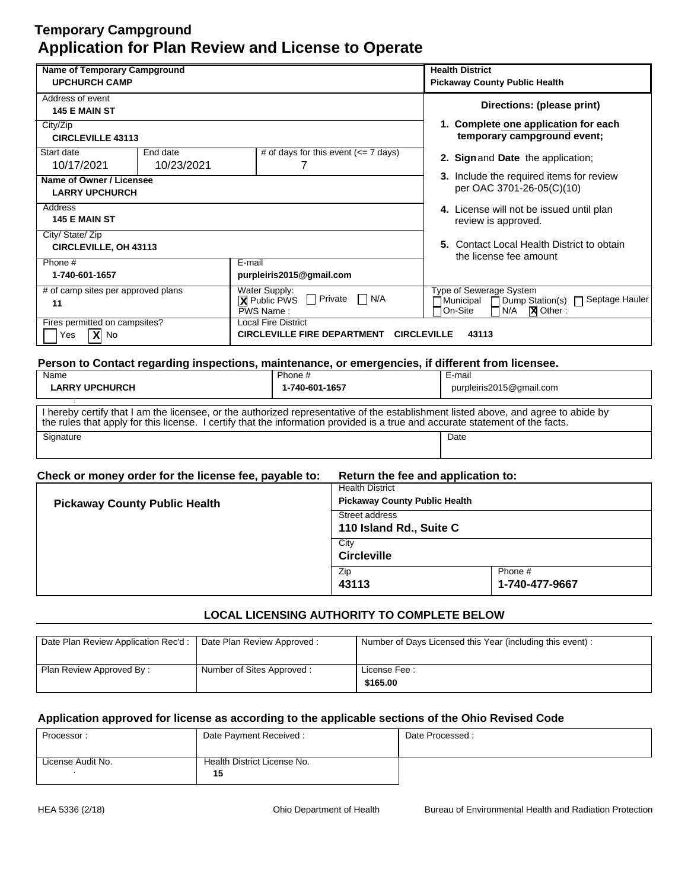| <b>Name of Temporary Campground</b><br><b>UPCHURCH CAMP</b>                                                                   |                        |                                                                                                               | <b>Health District</b><br><b>Pickaway County Public Health</b>                                                                                                                                                                                                      |
|-------------------------------------------------------------------------------------------------------------------------------|------------------------|---------------------------------------------------------------------------------------------------------------|---------------------------------------------------------------------------------------------------------------------------------------------------------------------------------------------------------------------------------------------------------------------|
| Address of event<br>145 E MAIN ST                                                                                             |                        |                                                                                                               | Directions: (please print)                                                                                                                                                                                                                                          |
| City/Zip<br><b>CIRCLEVILLE 43113</b>                                                                                          |                        |                                                                                                               | 1. Complete one application for each<br>temporary campground event;                                                                                                                                                                                                 |
| Start date<br>10/17/2021                                                                                                      | End date<br>10/23/2021 | # of days for this event $\left(\leq 7 \text{ days}\right)$<br>7                                              | 2. Sign and Date the application;                                                                                                                                                                                                                                   |
| Name of Owner / Licensee<br><b>LARRY UPCHURCH</b>                                                                             |                        |                                                                                                               | 3. Include the required items for review<br>per OAC 3701-26-05(C)(10)                                                                                                                                                                                               |
| Address<br><b>145 E MAIN ST</b>                                                                                               |                        | 4. License will not be issued until plan<br>review is approved.                                               |                                                                                                                                                                                                                                                                     |
| City/ State/ Zip<br><b>CIRCLEVILLE, OH 43113</b>                                                                              |                        |                                                                                                               | 5. Contact Local Health District to obtain<br>the license fee amount                                                                                                                                                                                                |
| Phone #<br>1-740-601-1657                                                                                                     |                        | E-mail<br>purpleiris2015@gmail.com                                                                            |                                                                                                                                                                                                                                                                     |
| # of camp sites per approved plans<br>Water Supply:<br>$\Box$ N/A<br>$\Box$ Private<br><b>X</b> Public PWS<br>11<br>PWS Name: |                        | Type of Sewerage System<br>Dump Station(s) □ Septage Hauler<br>Municipal<br>On-Site<br>N/A<br><b>X</b> Other: |                                                                                                                                                                                                                                                                     |
| Fires permitted on campsites?<br>$\overline{\mathbf{X}}$ No<br>Yes                                                            |                        | <b>Local Fire District</b><br><b>CIRCLEVILLE FIRE DEPARTMENT</b>                                              | <b>CIRCLEVILLE</b><br>43113                                                                                                                                                                                                                                         |
|                                                                                                                               |                        |                                                                                                               | Person to Contact regarding inspections, maintenance, or emergencies, if different from licensee.                                                                                                                                                                   |
| Name<br><b>LARRY UPCHURCH</b>                                                                                                 |                        | Phone #<br>1-740-601-1657                                                                                     | E-mail<br>purpleiris2015@gmail.com                                                                                                                                                                                                                                  |
|                                                                                                                               |                        |                                                                                                               | I hereby certify that I am the licensee, or the authorized representative of the establishment listed above, and agree to abide by<br>the rules that apply for this license. I certify that the information provided is a true and accurate statement of the facts. |
| Signature                                                                                                                     |                        |                                                                                                               | Date                                                                                                                                                                                                                                                                |

| Check or money order for the license fee, payable to: | Return the fee and application to:                             |                           |
|-------------------------------------------------------|----------------------------------------------------------------|---------------------------|
| <b>Pickaway County Public Health</b>                  | <b>Health District</b><br><b>Pickaway County Public Health</b> |                           |
|                                                       | Street address<br>110 Island Rd., Suite C                      |                           |
|                                                       | City<br><b>Circleville</b>                                     |                           |
|                                                       | Zip<br>43113                                                   | Phone #<br>1-740-477-9667 |

## **LOCAL LICENSING AUTHORITY TO COMPLETE BELOW**

| Date Plan Review Application Rec'd :   Date Plan Review Approved : |                           | Number of Days Licensed this Year (including this event): |
|--------------------------------------------------------------------|---------------------------|-----------------------------------------------------------|
| Plan Review Approved By:                                           | Number of Sites Approved: | License Fee:<br>\$165.00                                  |

| Processor:        | Date Payment Received:      | Date Processed: |
|-------------------|-----------------------------|-----------------|
|                   |                             |                 |
| License Audit No. | Health District License No. |                 |
|                   | 15                          |                 |
|                   |                             |                 |